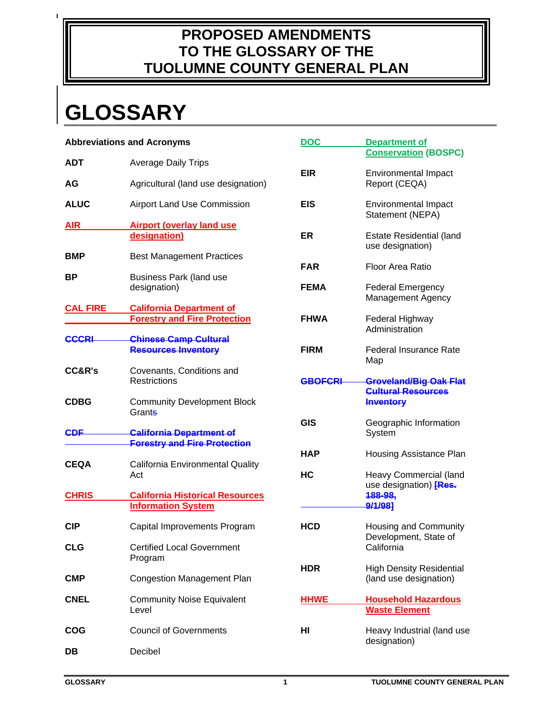# **PROPOSED AMENDMENTS TO THE GLOSSARY OF THE TUOLUMNE COUNTY GENERAL PLAN**

# **GLOSSARY**

 $\mathbf{I}$ 

| <b>Abbreviations and Acronyms</b> |                                                                        | <b>DOC</b>     | <b>Department of</b>                                       |
|-----------------------------------|------------------------------------------------------------------------|----------------|------------------------------------------------------------|
| <b>ADT</b>                        | <b>Average Daily Trips</b>                                             |                | <b>Conservation (BOSPC)</b>                                |
| AG                                | Agricultural (land use designation)                                    | <b>EIR</b>     | <b>Environmental Impact</b><br>Report (CEQA)               |
| <b>ALUC</b>                       | Airport Land Use Commission                                            | <b>EIS</b>     | <b>Environmental Impact</b><br>Statement (NEPA)            |
| <b>AIR</b>                        | <b>Airport (overlay land use</b><br>designation)                       | <b>ER</b>      | <b>Estate Residential (land</b><br>use designation)        |
| <b>BMP</b>                        | <b>Best Management Practices</b>                                       | <b>FAR</b>     | <b>Floor Area Ratio</b>                                    |
| ВP                                | Business Park (land use<br>designation)                                | <b>FEMA</b>    | <b>Federal Emergency</b>                                   |
| <b>CAL FIRE</b>                   | <b>California Department of</b>                                        |                | Management Agency                                          |
|                                   | <b>Forestry and Fire Protection</b>                                    | <b>FHWA</b>    | Federal Highway<br>Administration                          |
| <b>CCCRI</b>                      | <b>Chinese Camp Cultural</b><br><b>Resources Inventory</b>             | <b>FIRM</b>    | <b>Federal Insurance Rate</b><br>Map                       |
| <b>CC&amp;R's</b>                 | Covenants, Conditions and<br><b>Restrictions</b>                       | <b>GBOFCRI</b> | <b>Groveland/Big Oak Flat</b><br><b>Cultural Resources</b> |
| <b>CDBG</b>                       | <b>Community Development Block</b><br>Grants                           |                | <b>Inventory</b>                                           |
| <b>CDF</b>                        | <b>California Department of</b><br><b>Forestry and Fire Protection</b> | <b>GIS</b>     | Geographic Information<br>System                           |
| <b>CEQA</b>                       | California Environmental Quality                                       | <b>HAP</b>     | Housing Assistance Plan                                    |
|                                   | Act                                                                    | HC             | Heavy Commercial (land<br>use designation) [Res.           |
| <b>CHRIS</b>                      | <b>California Historical Resources</b><br><b>Information System</b>    |                | 188-98,<br>9/1/98                                          |
| <b>CIP</b>                        | Capital Improvements Program                                           | <b>HCD</b>     | Housing and Community<br>Development, State of             |
| <b>CLG</b>                        | <b>Certified Local Government</b><br>Program                           |                | California                                                 |
| <b>CMP</b>                        | <b>Congestion Management Plan</b>                                      | <b>HDR</b>     | <b>High Density Residential</b><br>(land use designation)  |
| <b>CNEL</b>                       | <b>Community Noise Equivalent</b><br>Level                             | <b>HHWE</b>    | <b>Household Hazardous</b><br><b>Waste Element</b>         |
| <b>COG</b>                        | <b>Council of Governments</b>                                          | HI             | Heavy Industrial (land use                                 |
| DB                                | Decibel                                                                |                | designation)                                               |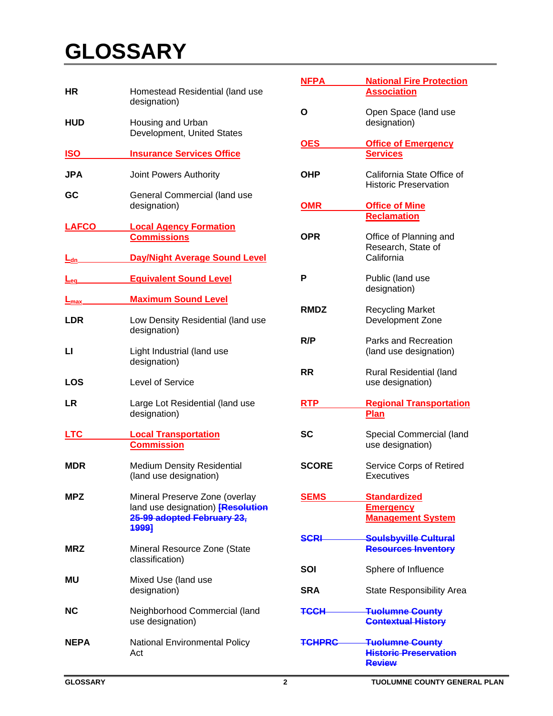| ΗR                     | Homestead Residential (land use<br>designation)                                                                   |
|------------------------|-------------------------------------------------------------------------------------------------------------------|
| <b>HUD</b>             | Housing and Urban<br>Development, United States                                                                   |
| <b>ISO</b>             | <b>Insurance Services Office</b>                                                                                  |
| JPA                    | Joint Powers Authority                                                                                            |
| GC                     | General Commercial (land use<br>designation)                                                                      |
| <b>LAFCO</b>           | <b>Local Agency Formation</b><br><b>Commissions</b>                                                               |
| <u> Lan, </u>          | <b>Day/Night Average Sound Level</b>                                                                              |
| <u>L<sub>eg.</sub></u> | <b>Equivalent Sound Level</b>                                                                                     |
| <u>L<sub>max</sub></u> | <b>Maximum Sound Level</b>                                                                                        |
| LDR                    | Low Density Residential (land use<br>designation)                                                                 |
| П                      | Light Industrial (land use<br>designation)                                                                        |
| <b>LOS</b>             | Level of Service                                                                                                  |
| LR                     | Large Lot Residential (land use<br>designation)                                                                   |
| LTC                    | <b>Local Transportation</b><br><b>Commission</b>                                                                  |
| <b>MDR</b>             | <b>Medium Density Residential</b><br>(land use designation)                                                       |
| MPZ                    | Mineral Preserve Zone (overlay<br>land use designation) [Resolution<br>25-99 adopted February 23,<br><b>1999]</b> |
| <b>MRZ</b>             | Mineral Resource Zone (State<br>classification)                                                                   |
| <b>MU</b>              | Mixed Use (land use<br>designation)                                                                               |
| <b>NC</b>              | Neighborhood Commercial (land<br>use designation)                                                                 |
| <b>NEPA</b>            | <b>National Environmental Policy</b><br>Act                                                                       |

| NFPA         | <b>National Fire Protection</b><br><b>Association</b>      |
|--------------|------------------------------------------------------------|
| О            | Open Space (land use<br>designation)                       |
| <b>OES</b>   | <b>Office of Emergency</b><br><b>Services</b>              |
| OHP          | California State Office of<br><b>Historic Preservation</b> |
| OMR          | <b>Office of Mine</b>                                      |
|              | <b>Reclamation</b>                                         |
| OPR          | Office of Planning and<br>Research, State of<br>California |
| Р            | Public (land use<br>designation)                           |
| <b>RMDZ</b>  | <b>Recycling Market</b><br>Development Zone                |
| R/P          | Parks and Recreation<br>(land use designation)             |
|              |                                                            |
| RR           | Rural Residential (land<br>use designation)                |
| RTP          |                                                            |
|              | <b>Regional Transportation</b><br>Plan                     |
| SC           | Special Commercial (land<br>use designation)               |
| <b>SCORE</b> | Service Corps of Retired<br>Executives                     |
| SEMS         | <b>Standardized</b>                                        |
|              | <b>Emergency</b>                                           |
|              | <b>Management System</b>                                   |
| SCRI         | <b>Soulsbyville Cultural</b><br><b>Resources Inventory</b> |
| SOI          | Sphere of Influence                                        |
| <b>SRA</b>   | <b>State Responsibility Area</b>                           |
| <b>TCCH</b>  | <b>Tuolumne County</b><br><b>Contextual History</b>        |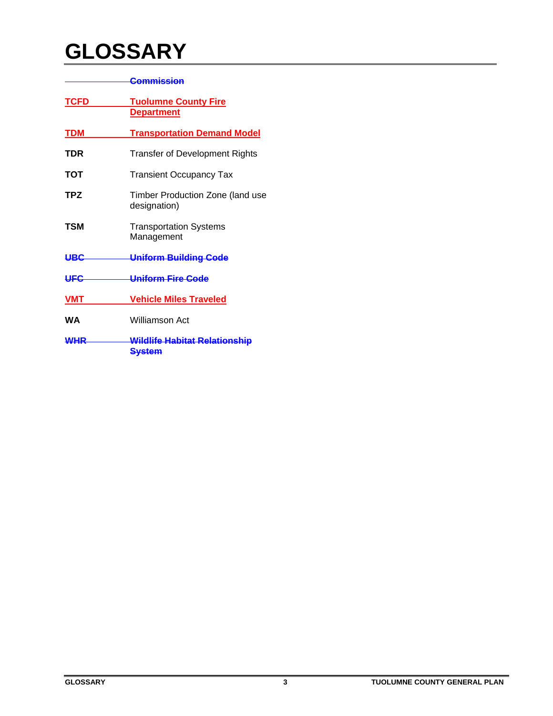|             | Commission                                            |
|-------------|-------------------------------------------------------|
| <b>TCFD</b> | <b>Tuolumne County Fire</b><br><b>Department</b>      |
| <b>TDM</b>  | <b>Transportation Demand Model</b>                    |
| TDR         | <b>Transfer of Development Rights</b>                 |
| тот         | <b>Transient Occupancy Tax</b>                        |
| TPZ         | Timber Production Zone (land use<br>designation)      |
| TSM         | <b>Transportation Systems</b><br>Management           |
| <b>UBC</b>  | <b>Uniform Building Code</b>                          |
| <b>UFC</b>  | Uniform Fire Code                                     |
| <b>VMT</b>  | <b>Vehicle Miles Traveled</b>                         |
| WА          | Williamson Act                                        |
| <b>WHR</b>  | <b>Wildlife Habitat Relationship</b><br><b>System</b> |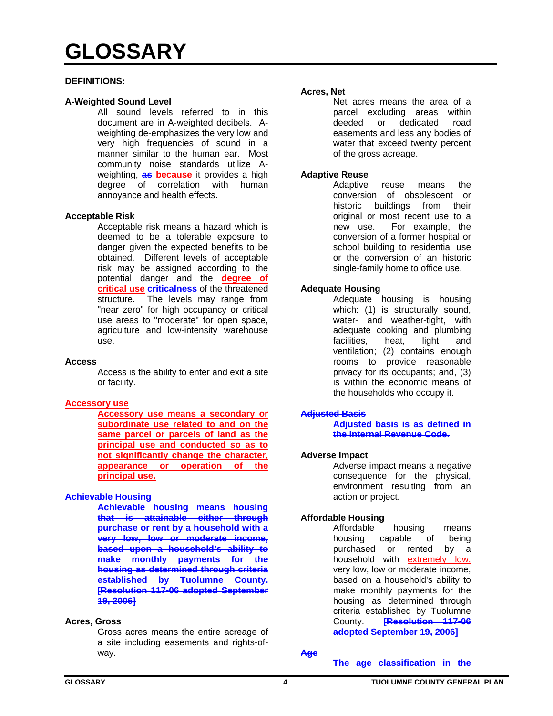#### **DEFINITIONS:**

#### **A-Weighted Sound Level**

All sound levels referred to in this document are in A-weighted decibels. Aweighting de-emphasizes the very low and very high frequencies of sound in a manner similar to the human ear. Most community noise standards utilize Aweighting, **as because** it provides a high degree of correlation with human annoyance and health effects.

#### **Acceptable Risk**

Acceptable risk means a hazard which is deemed to be a tolerable exposure to danger given the expected benefits to be obtained. Different levels of acceptable risk may be assigned according to the potential danger and the **degree of critical use criticalness** of the threatened structure. The levels may range from "near zero" for high occupancy or critical use areas to "moderate" for open space, agriculture and low-intensity warehouse use.

#### **Access**

Access is the ability to enter and exit a site or facility.

# **Accessory use**

**Accessory use means a secondary or subordinate use related to and on the same parcel or parcels of land as the principal use and conducted so as to not significantly change the character, appearance or operation of the principal use.** 

# **Achievable Housing**

**Achievable housing means housing that is attainable either through purchase or rent by a household with a very low, low or moderate income, based upon a household's ability to make monthly payments for the housing as determined through criteria established by Tuolumne County. [Resolution 117-06 adopted September 19, 2006]** 

#### **Acres, Gross**

Gross acres means the entire acreage of a site including easements and rights-ofway.

#### **Acres, Net**

Net acres means the area of a parcel excluding areas within deeded or dedicated road easements and less any bodies of water that exceed twenty percent of the gross acreage.

#### **Adaptive Reuse**

Adaptive reuse means the conversion of obsolescent or historic buildings from their original or most recent use to a new use. For example, the conversion of a former hospital or school building to residential use or the conversion of an historic single-family home to office use.

#### **Adequate Housing**

Adequate housing is housing which: (1) is structurally sound, water- and weather-tight, with adequate cooking and plumbing facilities, heat, light and ventilation; (2) contains enough rooms to provide reasonable privacy for its occupants; and, (3) is within the economic means of the households who occupy it.

#### **Adjusted Basis**

**Adjusted basis is as defined in the Internal Revenue Code.** 

#### **Adverse Impact**

Adverse impact means a negative consequence for the physical, environment resulting from an action or project.

# **Affordable Housing**

Affordable housing means housing capable of being purchased or rented by a household with extremely low, very low, low or moderate income, based on a household's ability to make monthly payments for the housing as determined through criteria established by Tuolumne County. **[Resolution 117-06 adopted September 19, 2006]**

**Age**

**The age classification in the**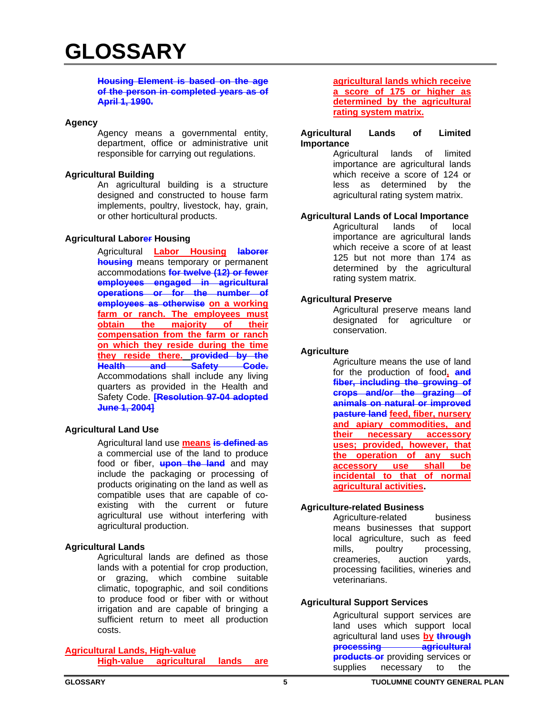#### **Housing Element is based on the age of the person in completed years as of April 1, 1990.**

#### **Agency**

Agency means a governmental entity, department, office or administrative unit responsible for carrying out regulations.

#### **Agricultural Building**

 An agricultural building is a structure designed and constructed to house farm implements, poultry, livestock, hay, grain, or other horticultural products.

#### **Agricultural Laborer Housing**

Agricultural **Labor Housing laborer housing** means temporary or permanent accommodations **for twelve (12) or fewer employees engaged in agricultural operations or for the number of employees as otherwise on a working farm or ranch. The employees must obtain the majority of their compensation from the farm or ranch on which they reside during the time they reside there. provided by the Health and Safety Code.** Accommodations shall include any living quarters as provided in the Health and Safety Code. **[Resolution 97-04 adopted June 1, 2004]**

# **Agricultural Land Use**

Agricultural land use **means is defined as** a commercial use of the land to produce food or fiber, **upon the land** and may include the packaging or processing of products originating on the land as well as compatible uses that are capable of coexisting with the current or future agricultural use without interfering with agricultural production.

# **Agricultural Lands**

Agricultural lands are defined as those lands with a potential for crop production, or grazing, which combine suitable climatic, topographic, and soil conditions to produce food or fiber with or without irrigation and are capable of bringing a sufficient return to meet all production costs.

# **Agricultural Lands, High-value**

**High-value agricultural lands are** 

#### **agricultural lands which receive a score of 175 or higher as determined by the agricultural rating system matrix.**

#### **Agricultural Lands of Limited Importance**

Agricultural lands of limited importance are agricultural lands which receive a score of 124 or less as determined by the agricultural rating system matrix.

# **Agricultural Lands of Local Importance**

Agricultural lands of local importance are agricultural lands which receive a score of at least 125 but not more than 174 as determined by the agricultural rating system matrix.

#### **Agricultural Preserve**

Agricultural preserve means land designated for agriculture or conservation.

#### **Agriculture**

Agriculture means the use of land for the production of food**, and fiber, including the growing of crops and/or the grazing of animals on natural or improved pasture land feed, fiber, nursery and apiary commodities, and their necessary accessory uses; provided, however, that the operation of any such accessory use shall be incidental to that of normal agricultural activities.**

# **Agriculture-related Business**

Agriculture-related business means businesses that support local agriculture, such as feed mills, poultry processing, creameries, auction yards, processing facilities, wineries and veterinarians.

# **Agricultural Support Services**

Agricultural support services are land uses which support local agricultural land uses **by through processing agricultural products or** providing services or supplies necessary to the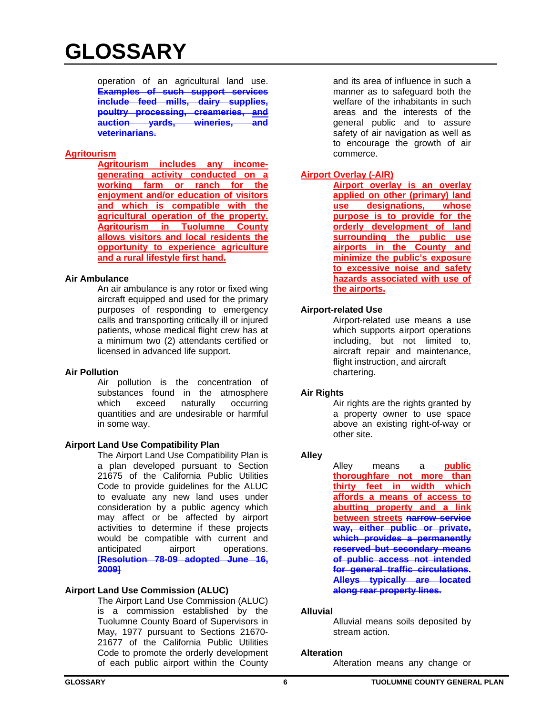operation of an agricultural land use. **Examples of such support services include feed mills, dairy supplies, poultry processing, creameries, and auction yards, wineries, and veterinarians.**

# **Agritourism**

**Agritourism includes any incomegenerating activity conducted on a working farm or ranch for the enjoyment and/or education of visitors and which is compatible with the agricultural operation of the property. Agritourism in Tuolumne County allows visitors and local residents the opportunity to experience agriculture and a rural lifestyle first hand.** 

# **Air Ambulance**

An air ambulance is any rotor or fixed wing aircraft equipped and used for the primary purposes of responding to emergency calls and transporting critically ill or injured patients, whose medical flight crew has at a minimum two (2) attendants certified or licensed in advanced life support.

# **Air Pollution**

Air pollution is the concentration of substances found in the atmosphere which exceed naturally occurring quantities and are undesirable or harmful in some way.

# **Airport Land Use Compatibility Plan**

The Airport Land Use Compatibility Plan is a plan developed pursuant to Section 21675 of the California Public Utilities Code to provide guidelines for the ALUC to evaluate any new land uses under consideration by a public agency which may affect or be affected by airport activities to determine if these projects would be compatible with current and anticipated airport operations. **[Resolution 78-09 adopted June 16, 2009]**

# **Airport Land Use Commission (ALUC)**

The Airport Land Use Commission (ALUC) is a commission established by the Tuolumne County Board of Supervisors in May<sub>7</sub> 1977 pursuant to Sections 21670-21677 of the California Public Utilities Code to promote the orderly development of each public airport within the County

and its area of influence in such a manner as to safeguard both the welfare of the inhabitants in such areas and the interests of the general public and to assure safety of air navigation as well as to encourage the growth of air commerce.

# **Airport Overlay (-AIR)**

**Airport overlay is an overlay applied on other (primary) land use designations, whose purpose is to provide for the orderly development of land surrounding the public use airports in the County and minimize the public's exposure to excessive noise and safety hazards associated with use of the airports.** 

#### **Airport-related Use**

Airport-related use means a use which supports airport operations including, but not limited to, aircraft repair and maintenance, flight instruction, and aircraft chartering.

#### **Air Rights**

Air rights are the rights granted by a property owner to use space above an existing right-of-way or other site.

# **Alley**

Alley means a **public thoroughfare not more than thirty feet in width which affords a means of access to abutting property and a link between streets narrow service way, either public or private, which provides a permanently reserved but secondary means of public access not intended for general traffic circulations. Alleys typically are located along rear property lines.**

#### **Alluvial**

Alluvial means soils deposited by stream action.

#### **Alteration**

Alteration means any change or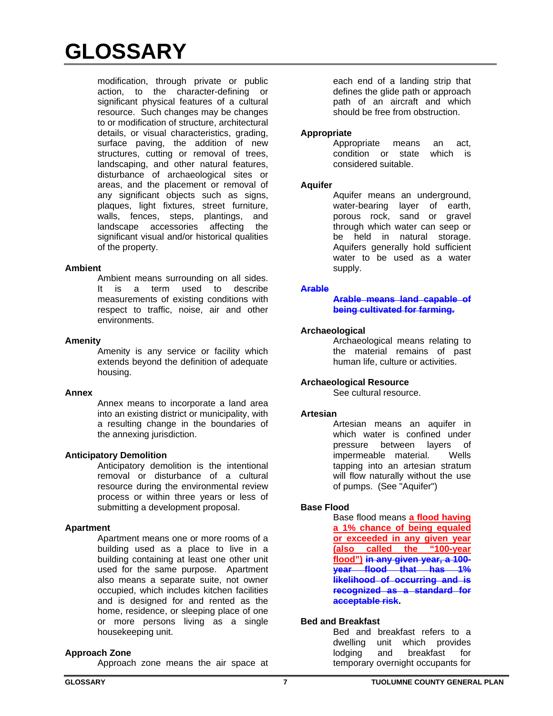modification, through private or public action, to the character-defining or significant physical features of a cultural resource. Such changes may be changes to or modification of structure, architectural details, or visual characteristics, grading, surface paving, the addition of new structures, cutting or removal of trees, landscaping, and other natural features, disturbance of archaeological sites or areas, and the placement or removal of any significant objects such as signs, plaques, light fixtures, street furniture, walls, fences, steps, plantings, and landscape accessories affecting the significant visual and/or historical qualities of the property.

#### **Ambient**

Ambient means surrounding on all sides. It is a term used to describe measurements of existing conditions with respect to traffic, noise, air and other environments.

#### **Amenity**

Amenity is any service or facility which extends beyond the definition of adequate housing.

# **Annex**

Annex means to incorporate a land area into an existing district or municipality, with a resulting change in the boundaries of the annexing jurisdiction.

# **Anticipatory Demolition**

Anticipatory demolition is the intentional removal or disturbance of a cultural resource during the environmental review process or within three years or less of submitting a development proposal.

# **Apartment**

 Apartment means one or more rooms of a building used as a place to live in a building containing at least one other unit used for the same purpose. Apartment also means a separate suite, not owner occupied, which includes kitchen facilities and is designed for and rented as the home, residence, or sleeping place of one or more persons living as a single housekeeping unit.

#### **Approach Zone**

Approach zone means the air space at

each end of a landing strip that defines the glide path or approach path of an aircraft and which should be free from obstruction.

#### **Appropriate**

Appropriate means an act, condition or state which is considered suitable.

#### **Aquifer**

Aquifer means an underground, water-bearing layer of earth, porous rock, sand or gravel through which water can seep or be held in natural storage. Aquifers generally hold sufficient water to be used as a water supply.

#### **Arable**

**Arable means land capable of being cultivated for farming.** 

#### **Archaeological**

Archaeological means relating to the material remains of past human life, culture or activities.

# **Archaeological Resource**

See cultural resource.

#### **Artesian**

Artesian means an aquifer in which water is confined under pressure between layers of impermeable material. Wells tapping into an artesian stratum will flow naturally without the use of pumps. (See "Aquifer")

# **Base Flood**

Base flood means **a flood having a 1% chance of being equaled or exceeded in any given year (also called the "100-year flood") in any given year, a 100 year flood that has 1% likelihood of occurring and is recognized as a standard for acceptable risk.**

# **Bed and Breakfast**

Bed and breakfast refers to a dwelling unit which provides lodging and breakfast for temporary overnight occupants for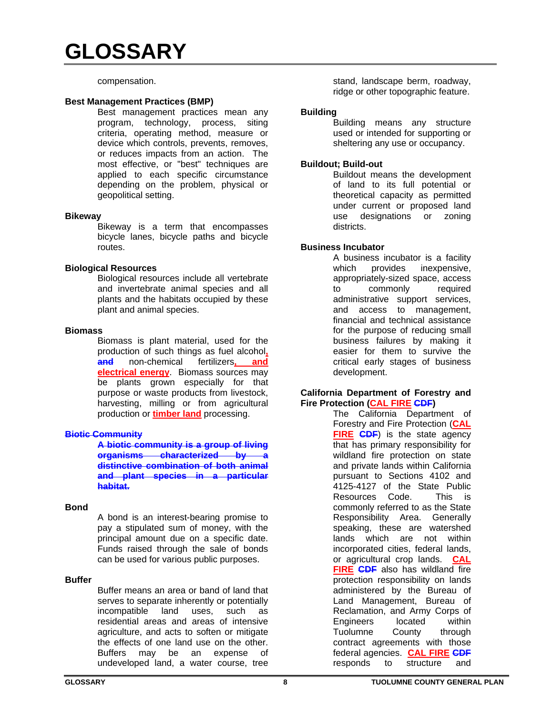compensation.

#### **Best Management Practices (BMP)**

Best management practices mean any program, technology, process, siting criteria, operating method, measure or device which controls, prevents, removes, or reduces impacts from an action. The most effective, or "best" techniques are applied to each specific circumstance depending on the problem, physical or geopolitical setting.

#### **Bikeway**

Bikeway is a term that encompasses bicycle lanes, bicycle paths and bicycle routes.

#### **Biological Resources**

Biological resources include all vertebrate and invertebrate animal species and all plants and the habitats occupied by these plant and animal species.

#### **Biomass**

Biomass is plant material, used for the production of such things as fuel alcohol**, and** non-chemical fertilizers**, and electrical energy**. Biomass sources may be plants grown especially for that purpose or waste products from livestock, harvesting, milling or from agricultural production or **timber land** processing.

#### **Biotic Community**

**A biotic community is a group of living organisms characterized by a distinctive combination of both animal and plant species in a particular habitat.** 

#### **Bond**

A bond is an interest-bearing promise to pay a stipulated sum of money, with the principal amount due on a specific date. Funds raised through the sale of bonds can be used for various public purposes.

# **Buffer**

Buffer means an area or band of land that serves to separate inherently or potentially incompatible land uses, such as residential areas and areas of intensive agriculture, and acts to soften or mitigate the effects of one land use on the other. Buffers may be an expense of undeveloped land, a water course, tree

stand, landscape berm, roadway, ridge or other topographic feature.

#### **Building**

Building means any structure used or intended for supporting or sheltering any use or occupancy.

#### **Buildout; Build-out**

Buildout means the development of land to its full potential or theoretical capacity as permitted under current or proposed land use designations or zoning districts.

# **Business Incubator**

A business incubator is a facility which provides inexpensive, appropriately-sized space, access to commonly required administrative support services, and access to management, financial and technical assistance for the purpose of reducing small business failures by making it easier for them to survive the critical early stages of business development.

#### **California Department of Forestry and Fire Protection (CAL FIRE CDF)**

The California Department of Forestry and Fire Protection (**CAL FIRE CDF**) is the state agency that has primary responsibility for wildland fire protection on state and private lands within California pursuant to Sections 4102 and 4125-4127 of the State Public Resources Code. This is commonly referred to as the State Responsibility Area. Generally speaking, these are watershed lands which are not within incorporated cities, federal lands, or agricultural crop lands. **CAL FIRE CDF** also has wildland fire protection responsibility on lands administered by the Bureau of Land Management, Bureau of Reclamation, and Army Corps of Engineers located within Tuolumne County through contract agreements with those federal agencies. **CAL FIRE CDF** responds to structure and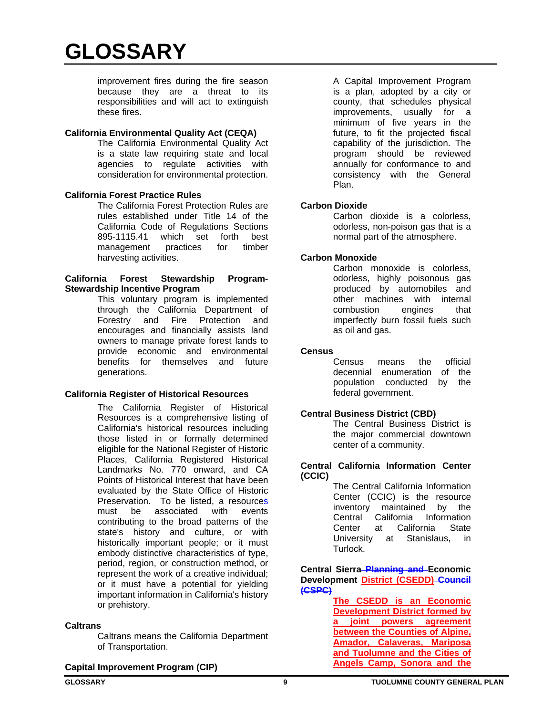improvement fires during the fire season because they are a threat to its responsibilities and will act to extinguish these fires.

#### **California Environmental Quality Act (CEQA)**

The California Environmental Quality Act is a state law requiring state and local agencies to regulate activities with consideration for environmental protection.

#### **California Forest Practice Rules**

The California Forest Protection Rules are rules established under Title 14 of the California Code of Regulations Sections 895-1115.41 which set forth best management practices for timber harvesting activities.

#### **California Forest Stewardship Program-Stewardship Incentive Program**

This voluntary program is implemented through the California Department of Forestry and Fire Protection and encourages and financially assists land owners to manage private forest lands to provide economic and environmental benefits for themselves and future generations.

# **California Register of Historical Resources**

 The California Register of Historical Resources is a comprehensive listing of California's historical resources including those listed in or formally determined eligible for the National Register of Historic Places, California Registered Historical Landmarks No. 770 onward, and CA Points of Historical Interest that have been evaluated by the State Office of Historic Preservation. To be listed, a resources must be associated with events contributing to the broad patterns of the state's history and culture, or with historically important people; or it must embody distinctive characteristics of type, period, region, or construction method, or represent the work of a creative individual; or it must have a potential for yielding important information in California's history or prehistory.

#### **Caltrans**

Caltrans means the California Department of Transportation.

 A Capital Improvement Program is a plan, adopted by a city or county, that schedules physical improvements, usually for a minimum of five years in the future, to fit the projected fiscal capability of the jurisdiction. The program should be reviewed annually for conformance to and consistency with the General Plan.

#### **Carbon Dioxide**

Carbon dioxide is a colorless, odorless, non-poison gas that is a normal part of the atmosphere.

#### **Carbon Monoxide**

Carbon monoxide is colorless, odorless, highly poisonous gas produced by automobiles and other machines with internal combustion engines that imperfectly burn fossil fuels such as oil and gas.

#### **Census**

Census means the official decennial enumeration of the population conducted by the federal government.

#### **Central Business District (CBD)**

The Central Business District is the major commercial downtown center of a community.

#### **Central California Information Center (CCIC)**

The Central California Information Center (CCIC) is the resource inventory maintained by the Central California Information Center at California State University at Stanislaus, in Turlock.

**Central Sierra Planning and Economic Development District (CSEDD) Council (CSPC)**

> **The CSEDD is an Economic Development District formed by a joint powers agreement between the Counties of Alpine, Amador, Calaveras, Mariposa and Tuolumne and the Cities of Angels Camp, Sonora and the**

# **Capital Improvement Program (CIP)**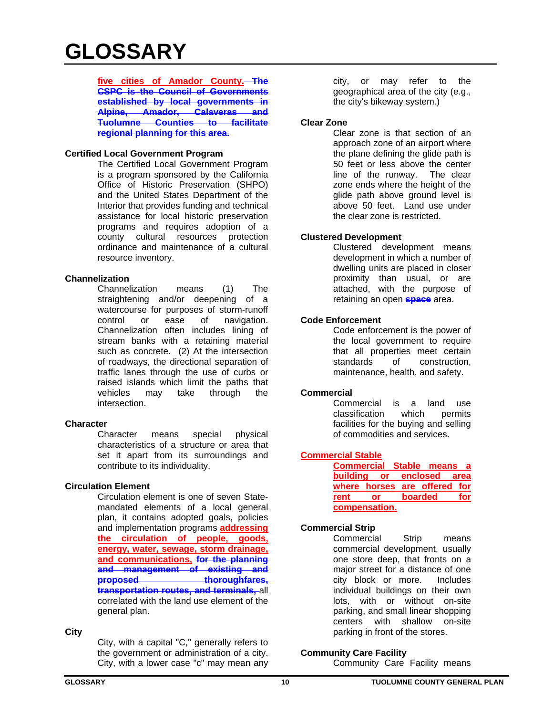**five cities of Amador County. The CSPC is the Council of Governments established by local governments in Alpine, Amador, Calaveras and Tuolumne Counties to facilitate regional planning for this area.** 

# **Certified Local Government Program**

The Certified Local Government Program is a program sponsored by the California Office of Historic Preservation (SHPO) and the United States Department of the Interior that provides funding and technical assistance for local historic preservation programs and requires adoption of a county cultural resources protection ordinance and maintenance of a cultural resource inventory.

# **Channelization**

Channelization means (1) The straightening and/or deepening of a watercourse for purposes of storm-runoff control or ease of navigation. Channelization often includes lining of stream banks with a retaining material such as concrete. (2) At the intersection of roadways, the directional separation of traffic lanes through the use of curbs or raised islands which limit the paths that vehicles may take through the intersection.

#### **Character**

Character means special physical characteristics of a structure or area that set it apart from its surroundings and contribute to its individuality.

# **Circulation Element**

Circulation element is one of seven Statemandated elements of a local general plan, it contains adopted goals, policies and implementation programs **addressing the circulation of people, goods, energy, water, sewage, storm drainage, and communications, for the planning and management of existing and**  proposed thoroughfares, **transportation routes, and terminals,** all correlated with the land use element of the general plan.

#### **City**

City, with a capital "C," generally refers to the government or administration of a city. City, with a lower case "c" may mean any

city, or may refer to the geographical area of the city (e.g., the city's bikeway system.)

#### **Clear Zone**

Clear zone is that section of an approach zone of an airport where the plane defining the glide path is 50 feet or less above the center line of the runway. The clear zone ends where the height of the glide path above ground level is above 50 feet. Land use under the clear zone is restricted.

#### **Clustered Development**

Clustered development means development in which a number of dwelling units are placed in closer proximity than usual, or are attached, with the purpose of retaining an open **space** area.

#### **Code Enforcement**

Code enforcement is the power of the local government to require that all properties meet certain standards of construction. maintenance, health, and safety.

#### **Commercial**

Commercial is a land use classification which permits facilities for the buying and selling of commodities and services.

#### **Commercial Stable**

|      | <b>Commercial Stable means a</b> |         |     |
|------|----------------------------------|---------|-----|
|      | building or enclosed area        |         |     |
|      | where horses are offered for     |         |     |
| rent | or                               | boarded | for |
|      | compensation.                    |         |     |

# **Commercial Strip**

Commercial Strip means commercial development, usually one store deep, that fronts on a major street for a distance of one city block or more. Includes individual buildings on their own lots, with or without on-site parking, and small linear shopping centers with shallow on-site parking in front of the stores.

# **Community Care Facility**

Community Care Facility means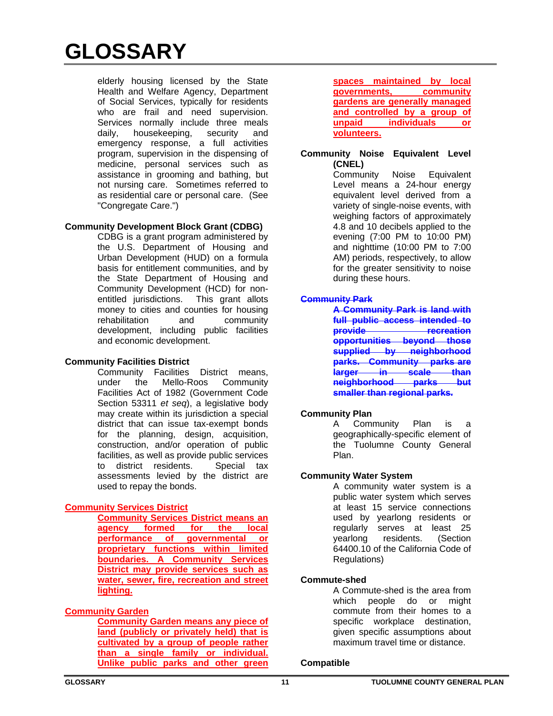elderly housing licensed by the State Health and Welfare Agency, Department of Social Services, typically for residents who are frail and need supervision. Services normally include three meals daily, housekeeping, security and emergency response, a full activities program, supervision in the dispensing of medicine, personal services such as assistance in grooming and bathing, but not nursing care. Sometimes referred to as residential care or personal care. (See "Congregate Care.")

# **Community Development Block Grant (CDBG)**

CDBG is a grant program administered by the U.S. Department of Housing and Urban Development (HUD) on a formula basis for entitlement communities, and by the State Department of Housing and Community Development (HCD) for nonentitled jurisdictions. This grant allots money to cities and counties for housing rehabilitation and community development, including public facilities and economic development.

# **Community Facilities District**

Community Facilities District means, under the Mello-Roos Community Facilities Act of 1982 (Government Code Section 53311 *et seq*), a legislative body may create within its jurisdiction a special district that can issue tax-exempt bonds for the planning, design, acquisition, construction, and/or operation of public facilities, as well as provide public services to district residents. Special tax assessments levied by the district are used to repay the bonds.

# **Community Services District**

**Community Services District means an agency formed for the local performance of governmental or proprietary functions within limited boundaries. A Community Services District may provide services such as water, sewer, fire, recreation and street lighting.** 

# **Community Garden**

**Community Garden means any piece of land (publicly or privately held) that is cultivated by a group of people rather than a single family or individual. Unlike public parks and other green** 

**spaces maintained by local governments, community gardens are generally managed and controlled by a group of unpaid individuals or volunteers.**

#### **Community Noise Equivalent Level (CNEL)**

 Community Noise Equivalent Level means a 24-hour energy equivalent level derived from a variety of single-noise events, with weighing factors of approximately 4.8 and 10 decibels applied to the evening (7:00 PM to 10:00 PM) and nighttime (10:00 PM to 7:00 AM) periods, respectively, to allow for the greater sensitivity to noise during these hours.

# **Community Park**

**A Community Park is land with full public access intended to provide recreation opportunities beyond those supplied by neighborhood parks. Community parks are larger in scale than neighborhood parks but smaller than regional parks.** 

# **Community Plan**

A Community Plan is a geographically-specific element of the Tuolumne County General Plan.

# **Community Water System**

A community water system is a public water system which serves at least 15 service connections used by yearlong residents or regularly serves at least 25 yearlong residents. (Section 64400.10 of the California Code of Regulations)

# **Commute-shed**

A Commute-shed is the area from which people do or might commute from their homes to a specific workplace destination, given specific assumptions about maximum travel time or distance.

# **Compatible**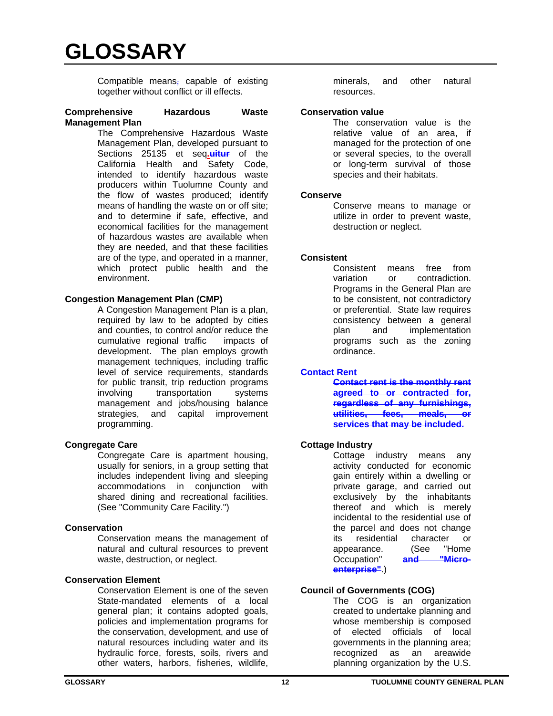Compatible means, capable of existing together without conflict or ill effects.

#### **Comprehensive Hazardous Waste Management Plan**

The Comprehensive Hazardous Waste Management Plan, developed pursuant to Sections 25135 et seq.uitur of the California Health and Safety Code, intended to identify hazardous waste producers within Tuolumne County and the flow of wastes produced; identify means of handling the waste on or off site; and to determine if safe, effective, and economical facilities for the management of hazardous wastes are available when they are needed, and that these facilities are of the type, and operated in a manner, which protect public health and the environment.

#### **Congestion Management Plan (CMP)**

A Congestion Management Plan is a plan, required by law to be adopted by cities and counties, to control and/or reduce the cumulative regional traffic impacts of development. The plan employs growth management techniques, including traffic level of service requirements, standards for public transit, trip reduction programs involving transportation systems management and jobs/housing balance strategies, and capital improvement programming.

# **Congregate Care**

Congregate Care is apartment housing, usually for seniors, in a group setting that includes independent living and sleeping accommodations in conjunction with shared dining and recreational facilities. (See "Community Care Facility.")

# **Conservation**

Conservation means the management of natural and cultural resources to prevent waste, destruction, or neglect.

# **Conservation Element**

Conservation Element is one of the seven State-mandated elements of a local general plan; it contains adopted goals, policies and implementation programs for the conservation, development, and use of natural resources including water and its hydraulic force, forests, soils, rivers and other waters, harbors, fisheries, wildlife,

minerals, and other natural resources.

#### **Conservation value**

The conservation value is the relative value of an area, if managed for the protection of one or several species, to the overall or long-term survival of those species and their habitats.

#### **Conserve**

Conserve means to manage or utilize in order to prevent waste, destruction or neglect.

#### **Consistent**

Consistent means free from variation or contradiction. Programs in the General Plan are to be consistent, not contradictory or preferential. State law requires consistency between a general plan and implementation programs such as the zoning ordinance.

#### **Contact Rent**

**Contact rent is the monthly rent agreed to or contracted for, regardless of any furnishings, utilities, fees, meals, or services that may be included.** 

#### **Cottage Industry**

Cottage industry means any activity conducted for economic gain entirely within a dwelling or private garage, and carried out exclusively by the inhabitants thereof and which is merely incidental to the residential use of the parcel and does not change its residential character or<br>appearance. (See "Home appearance. (See "Home<br>Occupation" and "Micro-Occupation" and **enterprise"**.)

# **Council of Governments (COG)**

The COG is an organization created to undertake planning and whose membership is composed of elected officials of local governments in the planning area; recognized as an areawide planning organization by the U.S.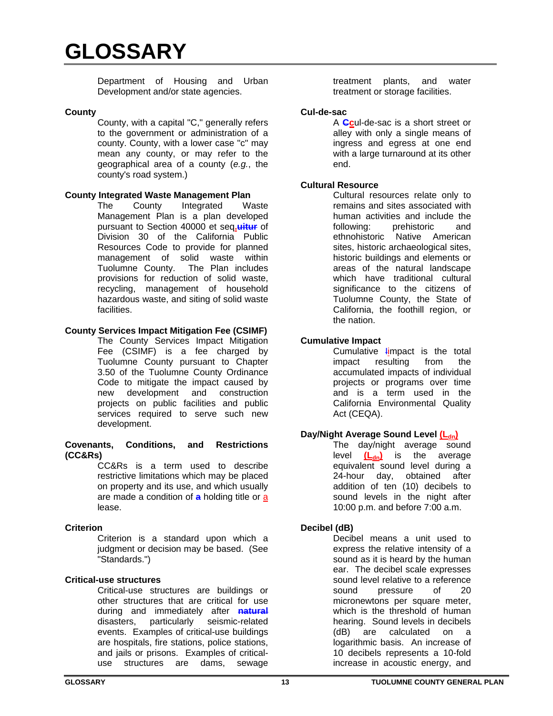Department of Housing and Urban Development and/or state agencies.

#### **County**

County, with a capital "C," generally refers to the government or administration of a county. County, with a lower case "c" may mean any county, or may refer to the geographical area of a county (*e.g.*, the county's road system.)

# **County Integrated Waste Management Plan**

The County Integrated Waste Management Plan is a plan developed pursuant to Section 40000 et seq**.uitur** of Division 30 of the California Public Resources Code to provide for planned management of solid waste within Tuolumne County. The Plan includes provisions for reduction of solid waste, recycling, management of household hazardous waste, and siting of solid waste facilities.

# **County Services Impact Mitigation Fee (CSIMF)**

The County Services Impact Mitigation Fee (CSIMF) is a fee charged by Tuolumne County pursuant to Chapter 3.50 of the Tuolumne County Ordinance Code to mitigate the impact caused by new development and construction projects on public facilities and public services required to serve such new development.

#### **Covenants, Conditions, and Restrictions (CC&Rs)**

CC&Rs is a term used to describe restrictive limitations which may be placed on property and its use, and which usually are made a condition of **a** holding title or a lease.

# **Criterion**

Criterion is a standard upon which a judgment or decision may be based. (See "Standards.")

# **Critical-use structures**

Critical-use structures are buildings or other structures that are critical for use during and immediately after **natural** disasters, particularly seismic-related events. Examples of critical-use buildings are hospitals, fire stations, police stations, and jails or prisons. Examples of criticaluse structures are dams, sewage

treatment plants, and water treatment or storage facilities.

#### **Cul-de-sac**

A **Cc**ul-de-sac is a short street or alley with only a single means of ingress and egress at one end with a large turnaround at its other end.

# **Cultural Resource**

Cultural resources relate only to remains and sites associated with human activities and include the following: prehistoric and ethnohistoric Native American sites, historic archaeological sites, historic buildings and elements or areas of the natural landscape which have traditional cultural significance to the citizens of Tuolumne County, the State of California, the foothill region, or the nation.

#### **Cumulative Impact**

Cumulative limpact is the total impact resulting from the accumulated impacts of individual projects or programs over time and is a term used in the California Environmental Quality Act (CEQA).

# **Day/Night Average Sound Level (Ldn)**

The day/night average sound level  $(L_{dn})$  is the average equivalent sound level during a 24-hour day, obtained after addition of ten (10) decibels to sound levels in the night after 10:00 p.m. and before 7:00 a.m.

# **Decibel (dB)**

Decibel means a unit used to express the relative intensity of a sound as it is heard by the human ear. The decibel scale expresses sound level relative to a reference sound pressure of 20 micronewtons per square meter, which is the threshold of human hearing. Sound levels in decibels (dB) are calculated on a logarithmic basis. An increase of 10 decibels represents a 10-fold increase in acoustic energy, and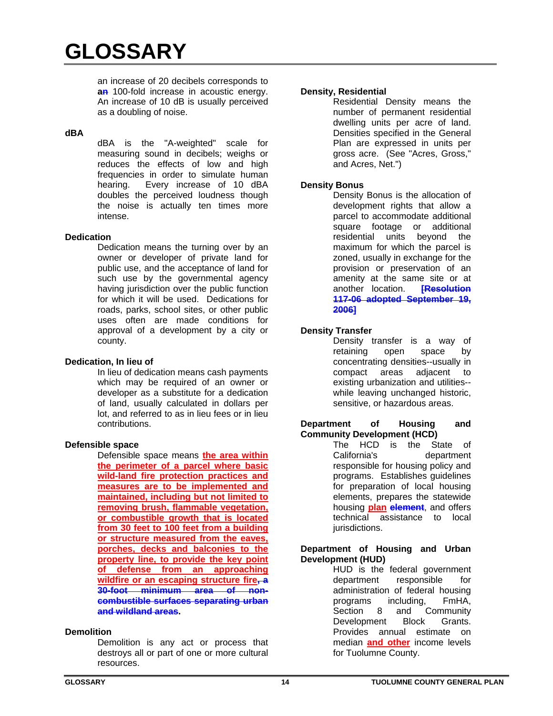an increase of 20 decibels corresponds to **an** 100-fold increase in acoustic energy. An increase of 10 dB is usually perceived as a doubling of noise.

#### **dBA**

dBA is the "A-weighted" scale for measuring sound in decibels; weighs or reduces the effects of low and high frequencies in order to simulate human hearing. Every increase of 10 dBA doubles the perceived loudness though the noise is actually ten times more intense.

#### **Dedication**

Dedication means the turning over by an owner or developer of private land for public use, and the acceptance of land for such use by the governmental agency having jurisdiction over the public function for which it will be used. Dedications for roads, parks, school sites, or other public uses often are made conditions for approval of a development by a city or county.

#### **Dedication, In lieu of**

In lieu of dedication means cash payments which may be required of an owner or developer as a substitute for a dedication of land, usually calculated in dollars per lot, and referred to as in lieu fees or in lieu contributions.

#### **Defensible space**

Defensible space means **the area within the perimeter of a parcel where basic wild-land fire protection practices and measures are to be implemented and maintained, including but not limited to removing brush, flammable vegetation, or combustible growth that is located from 30 feet to 100 feet from a building or structure measured from the eaves, porches, decks and balconies to the property line, to provide the key point of defense from an approaching wildfire or an escaping structure fire, a 30-foot minimum area of noncombustible surfaces separating urban and wildland areas.**

# **Demolition**

Demolition is any act or process that destroys all or part of one or more cultural resources.

#### **Density, Residential**

Residential Density means the number of permanent residential dwelling units per acre of land. Densities specified in the General Plan are expressed in units per gross acre. (See "Acres, Gross," and Acres, Net.")

# **Density Bonus**

Density Bonus is the allocation of development rights that allow a parcel to accommodate additional square footage or additional residential units beyond the maximum for which the parcel is zoned, usually in exchange for the provision or preservation of an amenity at the same site or at another location. **[Resolution 117-06 adopted September 19, 2006]**

# **Density Transfer**

Density transfer is a way of retaining open space by concentrating densities--usually in compact areas adjacent to existing urbanization and utilities- while leaving unchanged historic, sensitive, or hazardous areas.

#### **Department of Housing and Community Development (HCD)**

The HCD is the State of California's department responsible for housing policy and programs. Establishes guidelines for preparation of local housing elements, prepares the statewide housing **plan element**, and offers technical assistance to local jurisdictions.

#### **Department of Housing and Urban Development (HUD)**

HUD is the federal government department responsible for administration of federal housing programs including, FmHA, Section 8 and Community Development Block Grants. Provides annual estimate on median **and other** income levels for Tuolumne County.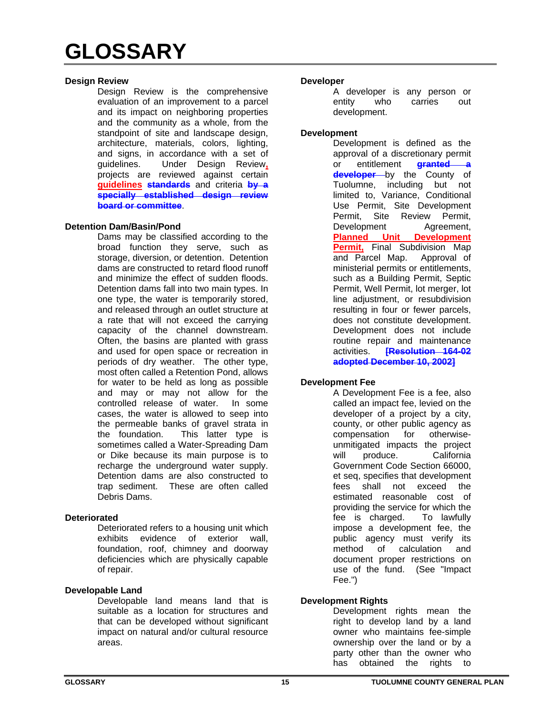#### **Design Review**

Design Review is the comprehensive evaluation of an improvement to a parcel and its impact on neighboring properties and the community as a whole, from the standpoint of site and landscape design, architecture, materials, colors, lighting, and signs, in accordance with a set of guidelines. Under Design Review**,** projects are reviewed against certain **guidelines standards** and criteria **by a specially established design review board or committee**.

#### **Detention Dam/Basin/Pond**

Dams may be classified according to the broad function they serve, such as storage, diversion, or detention. Detention dams are constructed to retard flood runoff and minimize the effect of sudden floods. Detention dams fall into two main types. In one type, the water is temporarily stored, and released through an outlet structure at a rate that will not exceed the carrying capacity of the channel downstream. Often, the basins are planted with grass and used for open space or recreation in periods of dry weather. The other type, most often called a Retention Pond, allows for water to be held as long as possible and may or may not allow for the controlled release of water. In some cases, the water is allowed to seep into the permeable banks of gravel strata in the foundation. This latter type is sometimes called a Water-Spreading Dam or Dike because its main purpose is to recharge the underground water supply. Detention dams are also constructed to trap sediment. These are often called Debris Dams.

# **Deteriorated**

Deteriorated refers to a housing unit which exhibits evidence of exterior wall, foundation, roof, chimney and doorway deficiencies which are physically capable of repair.

#### **Developable Land**

Developable land means land that is suitable as a location for structures and that can be developed without significant impact on natural and/or cultural resource areas.

#### **Developer**

A developer is any person or entity who carries out development.

#### **Development**

Development is defined as the approval of a discretionary permit or entitlement **granted a developer** by the County of Tuolumne, including but not limited to, Variance, Conditional Use Permit, Site Development Permit, Site Review Permit Development Agreement, **Planned Unit Development Permit,** Final Subdivision Map and Parcel Map. Approval of ministerial permits or entitlements, such as a Building Permit, Septic Permit, Well Permit, lot merger, lot line adjustment, or resubdivision resulting in four or fewer parcels, does not constitute development. Development does not include routine repair and maintenance activities. **[Resolution 164-02 adopted December 10, 2002]**

# **Development Fee**

A Development Fee is a fee, also called an impact fee, levied on the developer of a project by a city, county, or other public agency as compensation for otherwiseunmitigated impacts the project will produce. California Government Code Section 66000, et seq, specifies that development fees shall not exceed the estimated reasonable cost of providing the service for which the fee is charged. To lawfully impose a development fee, the public agency must verify its method of calculation and document proper restrictions on use of the fund. (See "Impact Fee.")

# **Development Rights**

Development rights mean the right to develop land by a land owner who maintains fee-simple ownership over the land or by a party other than the owner who has obtained the rights to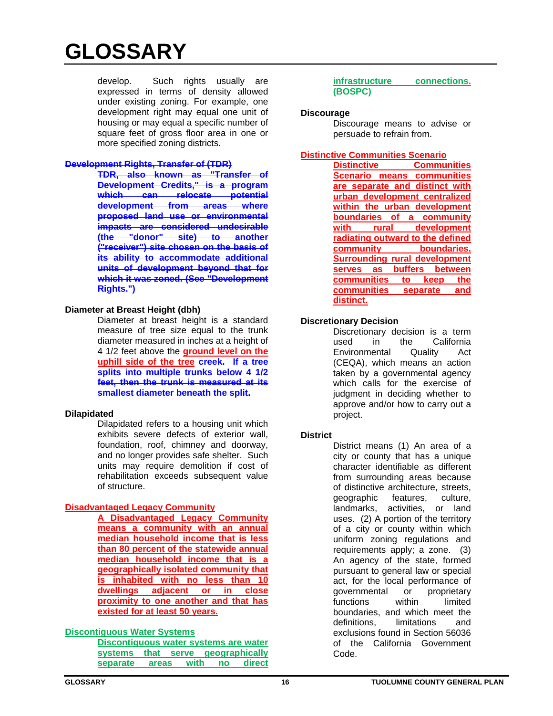develop. Such rights usually are expressed in terms of density allowed under existing zoning. For example, one development right may equal one unit of housing or may equal a specific number of square feet of gross floor area in one or more specified zoning districts.

#### **Development Rights, Transfer of (TDR)**

**TDR, also known as "Transfer of Development Credits," is a program which can relocate potential development from areas where proposed land use or environmental impacts are considered undesirable (the "donor" site) to another ("receiver") site chosen on the basis of its ability to accommodate additional units of development beyond that for which it was zoned. (See "Development Rights.")**

#### **Diameter at Breast Height (dbh)**

Diameter at breast height is a standard measure of tree size equal to the trunk diameter measured in inches at a height of 4 1/2 feet above the **ground level on the uphill side of the tree creek. If a tree splits into multiple trunks below 4 1/2 feet, then the trunk is measured at its smallest diameter beneath the split.**

# **Dilapidated**

Dilapidated refers to a housing unit which exhibits severe defects of exterior wall, foundation, roof, chimney and doorway, and no longer provides safe shelter. Such units may require demolition if cost of rehabilitation exceeds subsequent value of structure.

# **Disadvantaged Legacy Community**

**A Disadvantaged Legacy Community means a community with an annual median household income that is less than 80 percent of the statewide annual median household income that is a geographically isolated community that is inhabited with no less than 10 dwellings adjacent or in close proximity to one another and that has existed for at least 50 years.** 

# **Discontiguous Water Systems**

**Discontiguous water systems are water systems that serve geographically separate areas with no direct** 

**infrastructure connections. (BOSPC)** 

#### **Discourage**

Discourage means to advise or persuade to refrain from.

#### **Distinctive Communities Scenario**

**Distinctive Communities Scenario means communities are separate and distinct with urban development centralized within the urban development boundaries of a community with rural development radiating outward to the defined community boundaries. Surrounding rural development serves as buffers between communities to keep the communities separate and distinct.**

#### **Discretionary Decision**

Discretionary decision is a term used in the California<br>Environmental Quality Act Environmental Quality Act (CEQA), which means an action taken by a governmental agency which calls for the exercise of judgment in deciding whether to approve and/or how to carry out a project.

# **District**

District means (1) An area of a city or county that has a unique character identifiable as different from surrounding areas because of distinctive architecture, streets, geographic features, culture, landmarks, activities, or land uses. (2) A portion of the territory of a city or county within which uniform zoning regulations and requirements apply; a zone. (3) An agency of the state, formed pursuant to general law or special act, for the local performance of governmental or proprietary functions within limited boundaries, and which meet the definitions, limitations and exclusions found in Section 56036 of the California Government Code.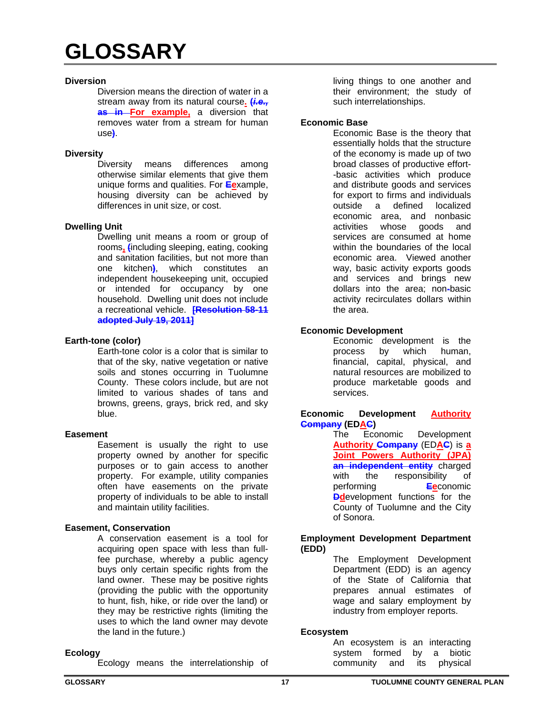#### **Diversion**

Diversion means the direction of water in a stream away from its natural course**. (***i.e.,* **as in For example,** a diversion that removes water from a stream for human use**)**.

# **Diversity**

Diversity means differences among otherwise similar elements that give them unique forms and qualities. For **Ee**xample, housing diversity can be achieved by differences in unit size, or cost.

#### **Dwelling Unit**

Dwelling unit means a room or group of rooms**, (**including sleeping, eating, cooking and sanitation facilities, but not more than one kitchen**)**, which constitutes an independent housekeeping unit, occupied or intended for occupancy by one household. Dwelling unit does not include a recreational vehicle. **[Resolution 58-11 adopted July 19, 2011]**

#### **Earth-tone (color)**

Earth-tone color is a color that is similar to that of the sky, native vegetation or native soils and stones occurring in Tuolumne County. These colors include, but are not limited to various shades of tans and browns, greens, grays, brick red, and sky blue.

#### **Easement**

Easement is usually the right to use property owned by another for specific purposes or to gain access to another property. For example, utility companies often have easements on the private property of individuals to be able to install and maintain utility facilities.

# **Easement, Conservation**

A conservation easement is a tool for acquiring open space with less than fullfee purchase, whereby a public agency buys only certain specific rights from the land owner. These may be positive rights (providing the public with the opportunity to hunt, fish, hike, or ride over the land) or they may be restrictive rights (limiting the uses to which the land owner may devote the land in the future.)

# **Ecology**

Ecology means the interrelationship of

living things to one another and their environment; the study of such interrelationships.

#### **Economic Base**

Economic Base is the theory that essentially holds that the structure of the economy is made up of two broad classes of productive effort- -basic activities which produce and distribute goods and services for export to firms and individuals<br>outside a defined localized defined localized economic area, and nonbasic activities whose goods and services are consumed at home within the boundaries of the local economic area. Viewed another way, basic activity exports goods and services and brings new dollars into the area; non-basic activity recirculates dollars within the area.

# **Economic Development**

Economic development is the process by which human, financial, capital, physical, and natural resources are mobilized to produce marketable goods and services.

#### **Economic Development Authority Company (EDAC)**

The Economic Development **Authority Company** (ED**AC**) is **a Joint Powers Authority (JPA) an independent entity** charged with the responsibility of performing **Ee**conomic **Ddevelopment** functions for the County of Tuolumne and the City of Sonora.

#### **Employment Development Department (EDD)**

The Employment Development Department (EDD) is an agency of the State of California that prepares annual estimates of wage and salary employment by industry from employer reports.

# **Ecosystem**

An ecosystem is an interacting system formed by a biotic community and its physical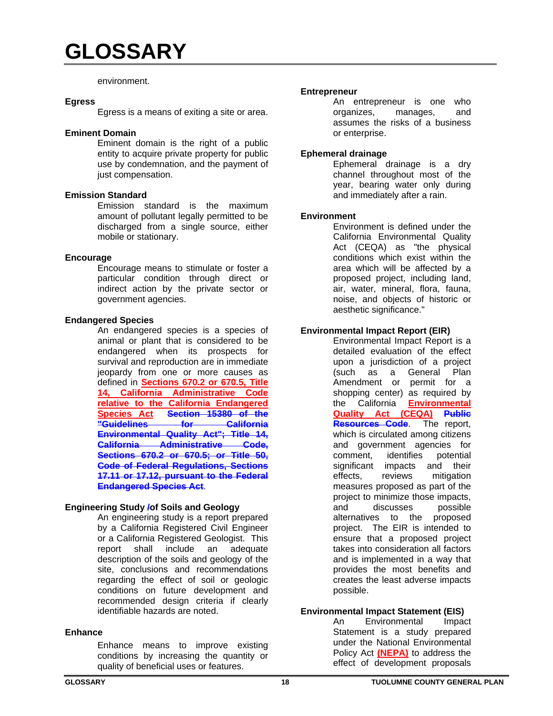#### environment.

#### **Egress**

Egress is a means of exiting a site or area.

#### **Eminent Domain**

Eminent domain is the right of a public entity to acquire private property for public use by condemnation, and the payment of just compensation.

#### **Emission Standard**

Emission standard is the maximum amount of pollutant legally permitted to be discharged from a single source, either mobile or stationary.

#### **Encourage**

Encourage means to stimulate or foster a particular condition through direct or indirect action by the private sector or government agencies.

#### **Endangered Species**

An endangered species is a species of animal or plant that is considered to be endangered when its prospects for survival and reproduction are in immediate jeopardy from one or more causes as defined in **Sections 670.2 or 670.5, Title 14, California Administrative Code relative to the California Endangered Species Act Section 15380 of the California Environmental Quality Act"; Title 14, California Administrative Code, Sections 670.2 or 670.5; or Title 50, Code of Federal Regulations, Sections 17.11 or 17.12, pursuant to the Federal Endangered Species Act**.

# **Engineering Study /of Soils and Geology**

An engineering study is a report prepared by a California Registered Civil Engineer or a California Registered Geologist. This report shall include an adequate description of the soils and geology of the site, conclusions and recommendations regarding the effect of soil or geologic conditions on future development and recommended design criteria if clearly identifiable hazards are noted.

#### **Enhance**

Enhance means to improve existing conditions by increasing the quantity or quality of beneficial uses or features.

#### **Entrepreneur**

An entrepreneur is one who organizes, manages, and assumes the risks of a business or enterprise.

#### **Ephemeral drainage**

Ephemeral drainage is a dry channel throughout most of the year, bearing water only during and immediately after a rain.

#### **Environment**

Environment is defined under the California Environmental Quality Act (CEQA) as "the physical conditions which exist within the area which will be affected by a proposed project, including land, air, water, mineral, flora, fauna, noise, and objects of historic or aesthetic significance."

# **Environmental Impact Report (EIR)**

Environmental Impact Report is a detailed evaluation of the effect upon a jurisdiction of a project (such as a General Plan Amendment or permit for a shopping center) as required by the California **Environmental Quality Act (CEQA) Public Resources Code**. The report, which is circulated among citizens and government agencies for comment, identifies potential significant impacts and their effects, reviews mitigation measures proposed as part of the project to minimize those impacts, and discusses possible alternatives to the proposed project. The EIR is intended to ensure that a proposed project takes into consideration all factors and is implemented in a way that provides the most benefits and creates the least adverse impacts possible.

# **Environmental Impact Statement (EIS)**

An Environmental Impact Statement is a study prepared under the National Environmental Policy Act **(NEPA)** to address the effect of development proposals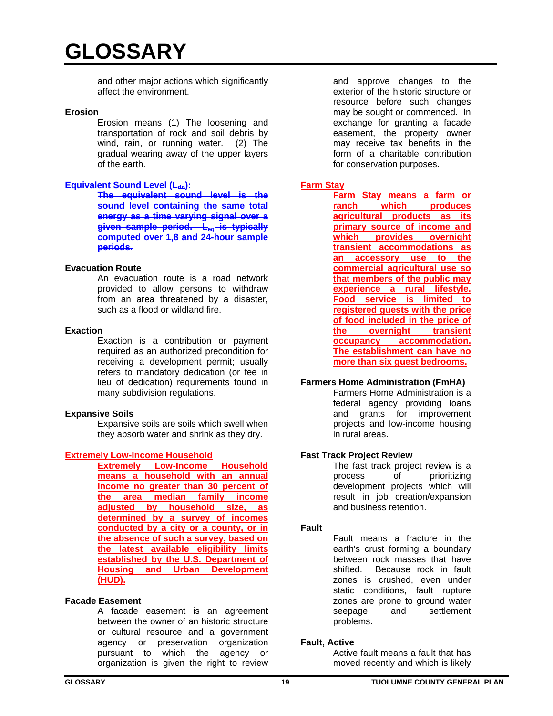and other major actions which significantly affect the environment.

#### **Erosion**

Erosion means (1) The loosening and transportation of rock and soil debris by wind, rain, or running water. (2) The gradual wearing away of the upper layers of the earth.

#### **Equivalent Sound Level (L<sub>dn</sub>):**

**The equivalent sound level is the sound level containing the same total energy as a time varying signal over a given sample period. Leq is typically computed over 1,8 and 24-hour sample periods.**

#### **Evacuation Route**

An evacuation route is a road network provided to allow persons to withdraw from an area threatened by a disaster, such as a flood or wildland fire.

#### **Exaction**

Exaction is a contribution or payment required as an authorized precondition for receiving a development permit; usually refers to mandatory dedication (or fee in lieu of dedication) requirements found in many subdivision regulations.

#### **Expansive Soils**

Expansive soils are soils which swell when they absorb water and shrink as they dry.

# **Extremely Low-Income Household**

**Extremely Low-Income Household means a household with an annual income no greater than 30 percent of the area median family income adjusted by household size, as determined by a survey of incomes conducted by a city or a county, or in the absence of such a survey, based on the latest available eligibility limits established by the U.S. Department of Housing and Urban Development (HUD).** 

#### **Facade Easement**

A facade easement is an agreement between the owner of an historic structure or cultural resource and a government agency or preservation organization pursuant to which the agency or organization is given the right to review

and approve changes to the exterior of the historic structure or resource before such changes may be sought or commenced. In exchange for granting a facade easement, the property owner may receive tax benefits in the form of a charitable contribution for conservation purposes.

# **Farm Stay**

**Farm Stay means a farm or ranch which produces agricultural products as its primary source of income and which provides overnight transient accommodations as an accessory use to the commercial agricultural use so that members of the public may experience a rural lifestyle. Food service is limited to registered guests with the price of food included in the price of the** overnight transient **occupancy accommodation. The establishment can have no more than six guest bedrooms.** 

# **Farmers Home Administration (FmHA)**

Farmers Home Administration is a federal agency providing loans and grants for improvement projects and low-income housing in rural areas.

# **Fast Track Project Review**

The fast track project review is a process of prioritizing development projects which will result in job creation/expansion and business retention.

#### **Fault**

Fault means a fracture in the earth's crust forming a boundary between rock masses that have shifted. Because rock in fault zones is crushed, even under static conditions, fault rupture zones are prone to ground water seepage and settlement problems.

#### **Fault, Active**

Active fault means a fault that has moved recently and which is likely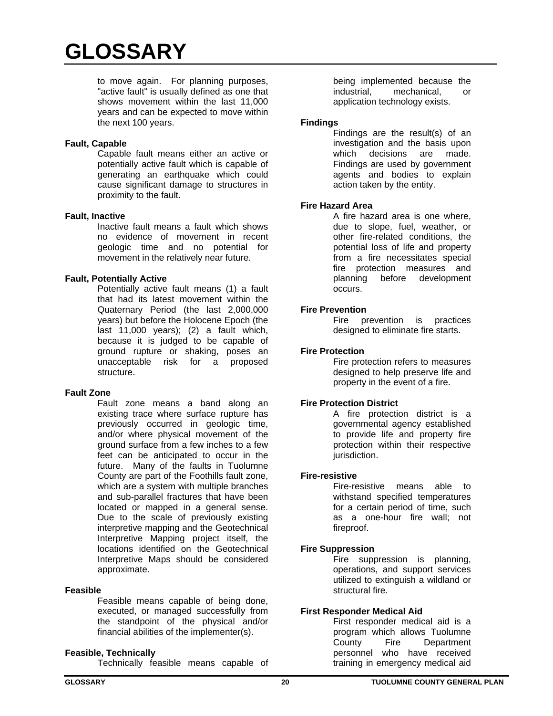to move again. For planning purposes, "active fault" is usually defined as one that shows movement within the last 11,000 years and can be expected to move within the next 100 years.

#### **Fault, Capable**

Capable fault means either an active or potentially active fault which is capable of generating an earthquake which could cause significant damage to structures in proximity to the fault.

#### **Fault, Inactive**

Inactive fault means a fault which shows no evidence of movement in recent geologic time and no potential for movement in the relatively near future.

#### **Fault, Potentially Active**

Potentially active fault means (1) a fault that had its latest movement within the Quaternary Period (the last 2,000,000 years) but before the Holocene Epoch (the last 11,000 years); (2) a fault which, because it is judged to be capable of ground rupture or shaking, poses an unacceptable risk for a proposed structure.

# **Fault Zone**

Fault zone means a band along an existing trace where surface rupture has previously occurred in geologic time, and/or where physical movement of the ground surface from a few inches to a few feet can be anticipated to occur in the future. Many of the faults in Tuolumne County are part of the Foothills fault zone, which are a system with multiple branches and sub-parallel fractures that have been located or mapped in a general sense. Due to the scale of previously existing interpretive mapping and the Geotechnical Interpretive Mapping project itself, the locations identified on the Geotechnical Interpretive Maps should be considered approximate.

#### **Feasible**

Feasible means capable of being done, executed, or managed successfully from the standpoint of the physical and/or financial abilities of the implementer(s).

#### **Feasible, Technically**

Technically feasible means capable of

being implemented because the industrial, mechanical, or application technology exists.

#### **Findings**

Findings are the result(s) of an investigation and the basis upon which decisions are made. Findings are used by government agents and bodies to explain action taken by the entity.

#### **Fire Hazard Area**

A fire hazard area is one where, due to slope, fuel, weather, or other fire-related conditions, the potential loss of life and property from a fire necessitates special fire protection measures and planning before development occurs.

# **Fire Prevention**

Fire prevention is practices designed to eliminate fire starts.

#### **Fire Protection**

Fire protection refers to measures designed to help preserve life and property in the event of a fire.

#### **Fire Protection District**

A fire protection district is a governmental agency established to provide life and property fire protection within their respective jurisdiction.

#### **Fire-resistive**

Fire-resistive means able to withstand specified temperatures for a certain period of time, such as a one-hour fire wall; not fireproof.

# **Fire Suppression**

Fire suppression is planning, operations, and support services utilized to extinguish a wildland or structural fire.

#### **First Responder Medical Aid**

First responder medical aid is a program which allows Tuolumne County Fire Department personnel who have received training in emergency medical aid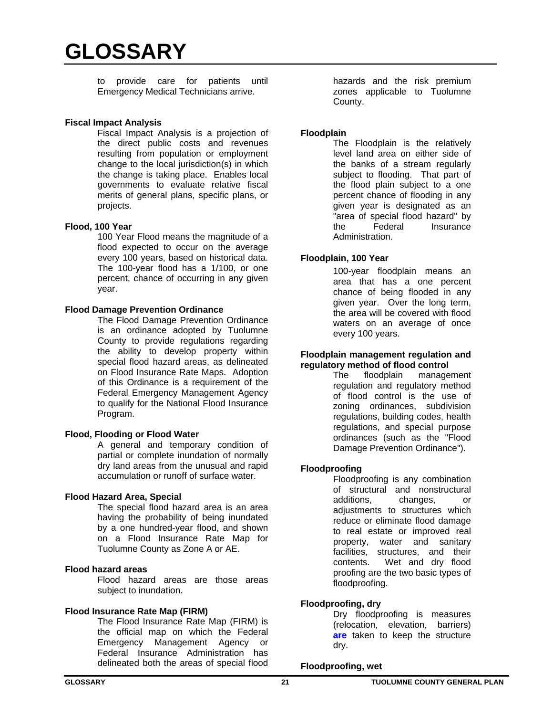to provide care for patients until Emergency Medical Technicians arrive.

#### **Fiscal Impact Analysis**

Fiscal Impact Analysis is a projection of the direct public costs and revenues resulting from population or employment change to the local jurisdiction(s) in which the change is taking place. Enables local governments to evaluate relative fiscal merits of general plans, specific plans, or projects.

#### **Flood, 100 Year**

100 Year Flood means the magnitude of a flood expected to occur on the average every 100 years, based on historical data. The 100-year flood has a 1/100, or one percent, chance of occurring in any given year.

#### **Flood Damage Prevention Ordinance**

The Flood Damage Prevention Ordinance is an ordinance adopted by Tuolumne County to provide regulations regarding the ability to develop property within special flood hazard areas, as delineated on Flood Insurance Rate Maps. Adoption of this Ordinance is a requirement of the Federal Emergency Management Agency to qualify for the National Flood Insurance Program.

#### **Flood, Flooding or Flood Water**

A general and temporary condition of partial or complete inundation of normally dry land areas from the unusual and rapid accumulation or runoff of surface water.

# **Flood Hazard Area, Special**

The special flood hazard area is an area having the probability of being inundated by a one hundred-year flood, and shown on a Flood Insurance Rate Map for Tuolumne County as Zone A or AE.

#### **Flood hazard areas**

Flood hazard areas are those areas subject to inundation.

#### **Flood Insurance Rate Map (FIRM)**

The Flood Insurance Rate Map (FIRM) is the official map on which the Federal Emergency Management Agency or Federal Insurance Administration has delineated both the areas of special flood

hazards and the risk premium zones applicable to Tuolumne County.

#### **Floodplain**

The Floodplain is the relatively level land area on either side of the banks of a stream regularly subject to flooding. That part of the flood plain subject to a one percent chance of flooding in any given year is designated as an "area of special flood hazard" by the Federal Insurance Administration.

#### **Floodplain, 100 Year**

100-year floodplain means an area that has a one percent chance of being flooded in any given year. Over the long term, the area will be covered with flood waters on an average of once every 100 years.

#### **Floodplain management regulation and regulatory method of flood control**

The floodplain management regulation and regulatory method of flood control is the use of zoning ordinances, subdivision regulations, building codes, health regulations, and special purpose ordinances (such as the "Flood Damage Prevention Ordinance").

# **Floodproofing**

Floodproofing is any combination of structural and nonstructural additions, changes, or adjustments to structures which reduce or eliminate flood damage to real estate or improved real property, water and sanitary facilities, structures, and their contents. Wet and dry flood proofing are the two basic types of floodproofing.

# **Floodproofing, dry**

Dry floodproofing is measures (relocation, elevation, barriers) **are** taken to keep the structure dry.

#### **Floodproofing, wet**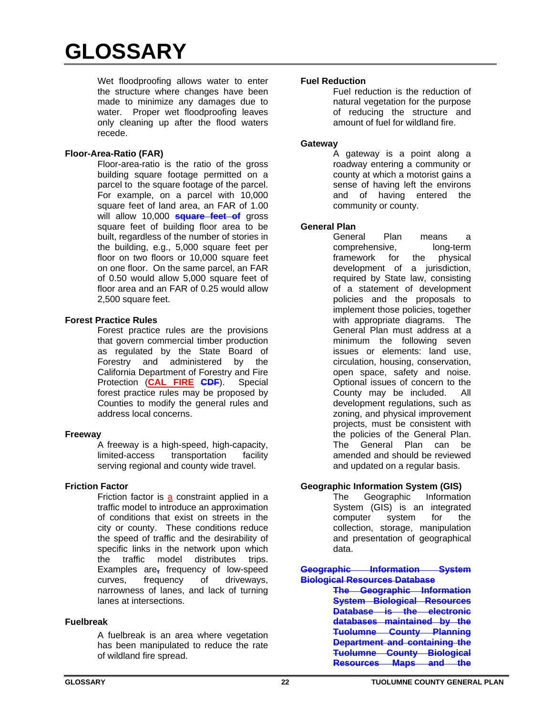Wet floodproofing allows water to enter the structure where changes have been made to minimize any damages due to water. Proper wet floodproofing leaves only cleaning up after the flood waters recede.

# **Floor-Area-Ratio (FAR)**

Floor-area-ratio is the ratio of the gross building square footage permitted on a parcel to the square footage of the parcel. For example, on a parcel with 10,000 square feet of land area, an FAR of 1.00 will allow 10,000 **square feet of** gross square feet of building floor area to be built, regardless of the number of stories in the building, e.g., 5,000 square feet per floor on two floors or 10,000 square feet on one floor. On the same parcel, an FAR of 0.50 would allow 5,000 square feet of floor area and an FAR of 0.25 would allow 2,500 square feet.

# **Forest Practice Rules**

Forest practice rules are the provisions that govern commercial timber production as regulated by the State Board of Forestry and administered by the California Department of Forestry and Fire Protection (**CAL FIRE CDF**). Special forest practice rules may be proposed by Counties to modify the general rules and address local concerns.

# **Freeway**

A freeway is a high-speed, high-capacity, limited-access transportation facility serving regional and county wide travel.

# **Friction Factor**

Friction factor is a constraint applied in a traffic model to introduce an approximation of conditions that exist on streets in the city or county. These conditions reduce the speed of traffic and the desirability of specific links in the network upon which the traffic model distributes trips. Examples are**,** frequency of low-speed curves, frequency of driveways, narrowness of lanes, and lack of turning lanes at intersections.

# **Fuelbreak**

A fuelbreak is an area where vegetation has been manipulated to reduce the rate of wildland fire spread.

# **Fuel Reduction**

Fuel reduction is the reduction of natural vegetation for the purpose of reducing the structure and amount of fuel for wildland fire.

#### **Gateway**

A gateway is a point along a roadway entering a community or county at which a motorist gains a sense of having left the environs and of having entered the community or county.

# **General Plan**

General Plan means a comprehensive, long-term framework for the physical development of a jurisdiction, required by State law, consisting of a statement of development policies and the proposals to implement those policies, together with appropriate diagrams. The General Plan must address at a minimum the following seven issues or elements: land use, circulation, housing, conservation, open space, safety and noise. Optional issues of concern to the County may be included. All development regulations, such as zoning, and physical improvement projects, must be consistent with the policies of the General Plan. The General Plan can be amended and should be reviewed and updated on a regular basis.

# **Geographic Information System (GIS)**

The Geographic Information System (GIS) is an integrated computer system for the collection, storage, manipulation and presentation of geographical data.

**Geographic Information System Biological Resources Database The Geographic Information System Biological Resources Database is the electronic databases maintained by the Tuolumne County Planning Department and containing the Tuolumne County Biological Resources Maps and the**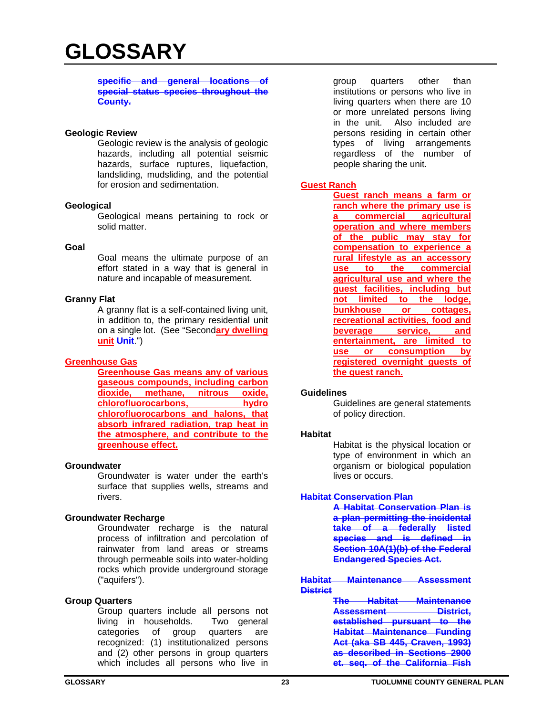#### **specific and general locations of special status species throughout the County.**

#### **Geologic Review**

Geologic review is the analysis of geologic hazards, including all potential seismic hazards, surface ruptures, liquefaction, landsliding, mudsliding, and the potential for erosion and sedimentation.

#### **Geological**

Geological means pertaining to rock or solid matter.

#### **Goal**

Goal means the ultimate purpose of an effort stated in a way that is general in nature and incapable of measurement.

#### **Granny Flat**

A granny flat is a self-contained living unit, in addition to, the primary residential unit on a single lot. (See "Second**ary dwelling unit Unit**.")

#### **Greenhouse Gas**

**Greenhouse Gas means any of various gaseous compounds, including carbon dioxide, methane, nitrous oxide, chlorofluorocarbons, hydro chlorofluorocarbons and halons, that absorb infrared radiation, trap heat in the atmosphere, and contribute to the greenhouse effect.** 

#### **Groundwater**

Groundwater is water under the earth's surface that supplies wells, streams and rivers.

# **Groundwater Recharge**

Groundwater recharge is the natural process of infiltration and percolation of rainwater from land areas or streams through permeable soils into water-holding rocks which provide underground storage ("aquifers").

# **Group Quarters**

Group quarters include all persons not living in households. Two general categories of group quarters are recognized: (1) institutionalized persons and (2) other persons in group quarters which includes all persons who live in

group quarters other than institutions or persons who live in living quarters when there are 10 or more unrelated persons living in the unit. Also included are persons residing in certain other types of living arrangements regardless of the number of people sharing the unit.

# **Guest Ranch**

**Guest ranch means a farm or ranch where the primary use is a commercial agricultural operation and where members of the public may stay for compensation to experience a rural lifestyle as an accessory use to the commercial agricultural use and where the guest facilities, including but not limited to the lodge, bunkhouse or cottages, recreational activities, food and beverage service, and entertainment, are limited to use or consumption by registered overnight guests of the guest ranch.** 

#### **Guidelines**

Guidelines are general statements of policy direction.

#### **Habitat**

Habitat is the physical location or type of environment in which an organism or biological population lives or occurs.

#### **Habitat Conservation Plan**

**A Habitat Conservation Plan is a plan permitting the incidental take of a federally listed species and is defined in Section 10A(1)(b) of the Federal Endangered Species Act.** 

**Habitat Maintenance Assessment District**

> **The Habitat Maintenance**  Assessment **District, established pursuant to the Habitat Maintenance Funding Act (aka SB 445, Craven, 1993) as described in Sections 2900 et. seq. of the California Fish**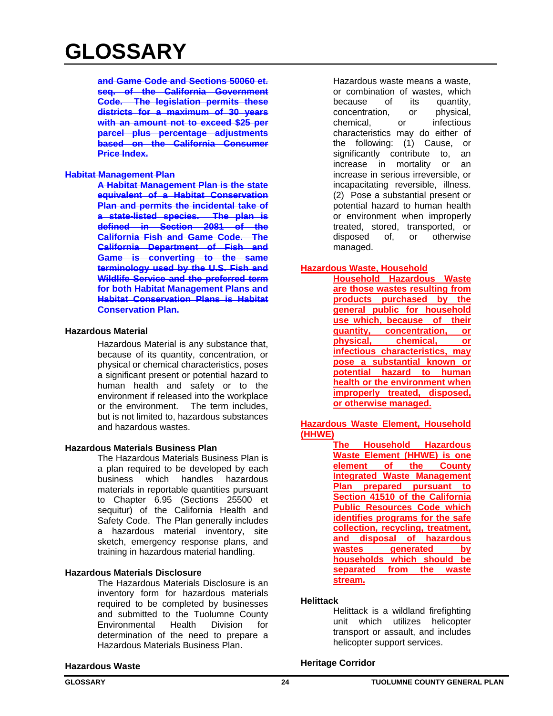**and Game Code and Sections 50060 et. seq. of the California Government Code. The legislation permits these districts for a maximum of 30 years with an amount not to exceed \$25 per parcel plus percentage adjustments based on the California Consumer Price Index.** 

#### **Habitat Management Plan**

**A Habitat Management Plan is the state equivalent of a Habitat Conservation Plan and permits the incidental take of a state-listed species. The plan is defined in Section 2081 of the California Fish and Game Code. The California Department of Fish and Game is converting to the same terminology used by the U.S. Fish and Wildlife Service and the preferred term for both Habitat Management Plans and Habitat Conservation Plans is Habitat Conservation Plan.** 

#### **Hazardous Material**

Hazardous Material is any substance that, because of its quantity, concentration, or physical or chemical characteristics, poses a significant present or potential hazard to human health and safety or to the environment if released into the workplace or the environment. The term includes, but is not limited to, hazardous substances and hazardous wastes.

# **Hazardous Materials Business Plan**

The Hazardous Materials Business Plan is a plan required to be developed by each business which handles hazardous materials in reportable quantities pursuant to Chapter 6.95 (Sections 25500 et sequitur) of the California Health and Safety Code. The Plan generally includes a hazardous material inventory, site sketch, emergency response plans, and training in hazardous material handling.

# **Hazardous Materials Disclosure**

The Hazardous Materials Disclosure is an inventory form for hazardous materials required to be completed by businesses and submitted to the Tuolumne County Environmental Health Division for determination of the need to prepare a Hazardous Materials Business Plan.

Hazardous waste means a waste, or combination of wastes, which because of its quantity, concentration, or physical, chemical, or infectious characteristics may do either of the following: (1) Cause, or significantly contribute to, an increase in mortality or an increase in serious irreversible, or incapacitating reversible, illness. (2) Pose a substantial present or potential hazard to human health or environment when improperly treated, stored, transported, or disposed of, or otherwise managed.

# **Hazardous Waste, Household**

**Household Hazardous Waste are those wastes resulting from products purchased by the general public for household use which, because of their quantity, concentration, or physical, chemical, or infectious characteristics, may pose a substantial known or potential hazard to human health or the environment when improperly treated, disposed, or otherwise managed.** 

**Hazardous Waste Element, Household (HHWE)**

**The Household Hazardous Waste Element (HHWE) is one element of the County Integrated Waste Management Plan prepared pursuant to Section 41510 of the California Public Resources Code which identifies programs for the safe collection, recycling, treatment, and disposal of hazardous washerman households which should be separated from the waste stream.** 

#### **Helittack**

Helittack is a wildland firefighting unit which utilizes helicopter transport or assault, and includes helicopter support services.

# **Hazardous Waste**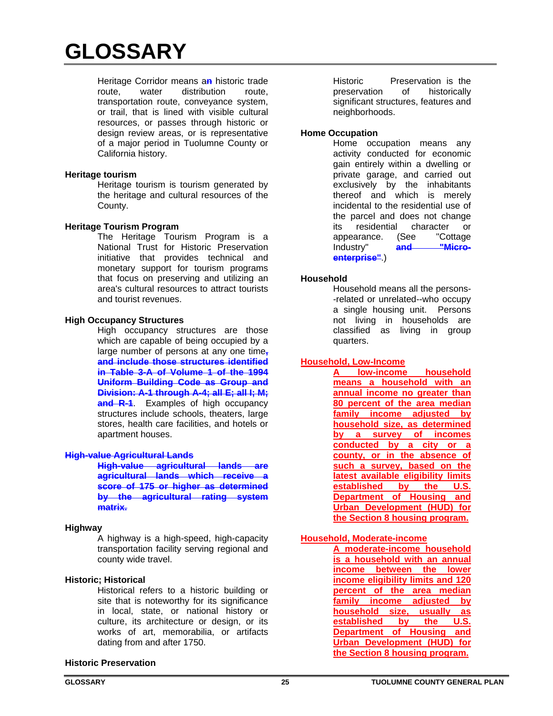Heritage Corridor means a**n** historic trade route, water distribution route, transportation route, conveyance system, or trail, that is lined with visible cultural resources, or passes through historic or design review areas, or is representative of a major period in Tuolumne County or California history.

#### **Heritage tourism**

Heritage tourism is tourism generated by the heritage and cultural resources of the County.

#### **Heritage Tourism Program**

 The Heritage Tourism Program is a National Trust for Historic Preservation initiative that provides technical and monetary support for tourism programs that focus on preserving and utilizing an area's cultural resources to attract tourists and tourist revenues.

#### **High Occupancy Structures**

High occupancy structures are those which are capable of being occupied by a large number of persons at any one time**, and include those structures identified in Table 3-A of Volume 1 of the 1994 Uniform Building Code as Group and Division: A-1 through A-4; all E; all I; M; and R-1**. Examples of high occupancy structures include schools, theaters, large stores, health care facilities, and hotels or apartment houses.

# **High-value Agricultural Lands**

**High-value agricultural lands are agricultural lands which receive a score of 175 or higher as determined by the agricultural rating system matrix.** 

#### **Highway**

A highway is a high-speed, high-capacity transportation facility serving regional and county wide travel.

# **Historic; Historical**

Historical refers to a historic building or site that is noteworthy for its significance in local, state, or national history or culture, its architecture or design, or its works of art, memorabilia, or artifacts dating from and after 1750.

# **Historic Preservation**

Historic Preservation is the preservation of historically significant structures, features and neighborhoods.

#### **Home Occupation**

Home occupation means any activity conducted for economic gain entirely within a dwelling or private garage, and carried out exclusively by the inhabitants thereof and which is merely incidental to the residential use of the parcel and does not change its residential character or appearance. (See "Cottage Industry" and "Micro**enterprise"**.)

#### **Household**

Household means all the persons- -related or unrelated--who occupy a single housing unit. Persons not living in households are classified as living in group quarters.

# **Household, Low-Income**

**A low-income household means a household with an annual income no greater than 80 percent of the area median family income adjusted by household size, as determined by a survey of incomes conducted by a city or a county, or in the absence of such a survey, based on the latest available eligibility limits established by the U.S. Department of Housing and Urban Development (HUD) for the Section 8 housing program.** 

# **Household, Moderate-income**

**A moderate-income household is a household with an annual income between the lower income eligibility limits and 120 percent of the area median family income adjusted by household size, usually as established by the U.S. Department of Housing and Urban Development (HUD) for the Section 8 housing program.**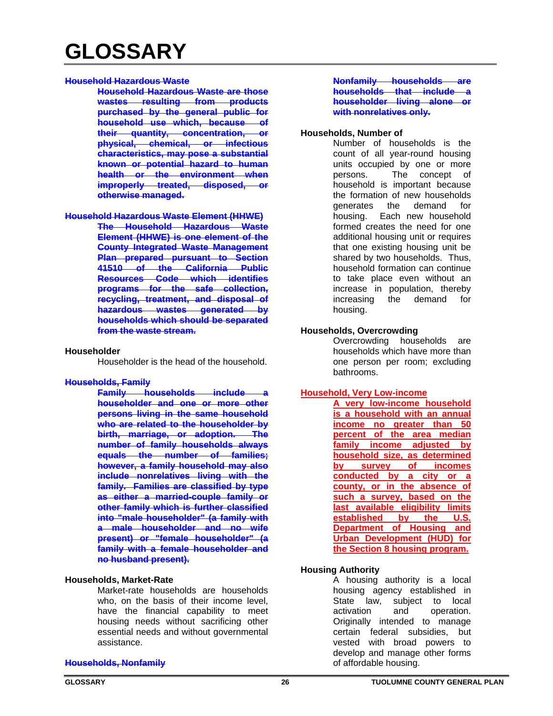#### **Household Hazardous Waste**

**Household Hazardous Waste are those wastes resulting from products purchased by the general public for household use which, because of their quantity, concentration, or physical, chemical, or infectious characteristics, may pose a substantial known or potential hazard to human health or the environment when improperly treated, disposed, or otherwise managed.** 

#### **Household Hazardous Waste Element (HHWE)**

**The Household Hazardous Waste Element (HHWE) is one element of the County Integrated Waste Management Plan prepared pursuant to Section 41510 of the California Public Resources Code which identifies programs for the safe collection, recycling, treatment, and disposal of hazardous wastes generated by households which should be separated from the waste stream.** 

#### **Householder**

Householder is the head of the household.

#### **Households, Family**

**Family households include householder and one or more other persons living in the same household who are related to the householder by birth, marriage, or adoption. The number of family households always equals the number of families; however, a family household may also include nonrelatives living with the family. Families are classified by type as either a married-couple family or other family which is further classified into "male householder" (a family with a male householder and no wife present) or "female householder" (a family with a female householder and no husband present).**

#### **Households, Market-Rate**

Market-rate households are households who, on the basis of their income level, have the financial capability to meet housing needs without sacrificing other essential needs and without governmental assistance.

#### **Households, Nonfamily**

**Nonfamily households are households that include a householder living alone or with nonrelatives only.**

#### **Households, Number of**

Number of households is the count of all year-round housing units occupied by one or more persons. The concept of household is important because the formation of new households generates the demand for housing. Each new household formed creates the need for one additional housing unit or requires that one existing housing unit be shared by two households. Thus, household formation can continue to take place even without an increase in population, thereby increasing the demand for housing.

#### **Households, Overcrowding**

Overcrowding households are households which have more than one person per room; excluding bathrooms.

# **Household, Very Low-income**

**A very low-income household is a household with an annual income no greater than 50 percent of the area median family income adjusted by household size, as determined by survey of incomes conducted by a city or a county, or in the absence of such a survey, based on the last available eligibility limits established by the U.S. Department of Housing and Urban Development (HUD) for the Section 8 housing program.** 

# **Housing Authority**

A housing authority is a local housing agency established in State law, subject to local activation and operation. Originally intended to manage certain federal subsidies, but vested with broad powers to develop and manage other forms of affordable housing.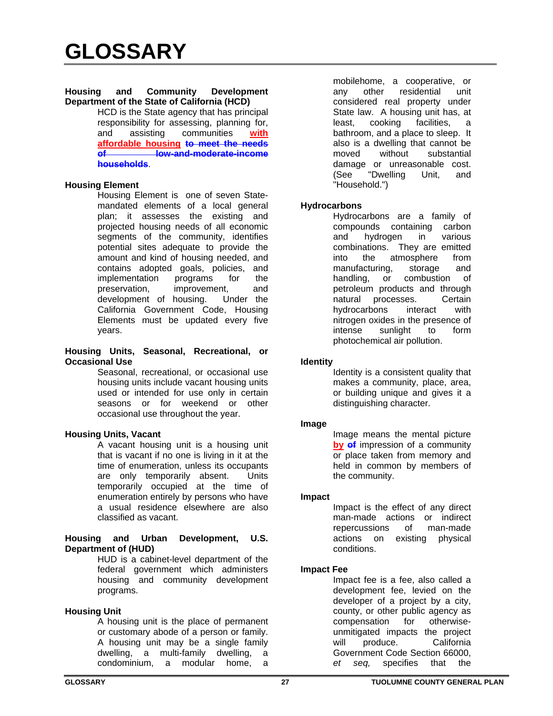#### **Housing and Community Development Department of the State of California (HCD)**

HCD is the State agency that has principal responsibility for assessing, planning for, and assisting communities **with affordable housing to meet the needs of low-and-moderate-income households**.

#### **Housing Element**

Housing Element is one of seven Statemandated elements of a local general plan; it assesses the existing and projected housing needs of all economic segments of the community, identifies potential sites adequate to provide the amount and kind of housing needed, and contains adopted goals, policies, and implementation programs for the preservation, improvement, and development of housing. Under the California Government Code, Housing Elements must be updated every five years.

#### **Housing Units, Seasonal, Recreational, or Occasional Use**

Seasonal, recreational, or occasional use housing units include vacant housing units used or intended for use only in certain seasons or for weekend or other occasional use throughout the year.

# **Housing Units, Vacant**

A vacant housing unit is a housing unit that is vacant if no one is living in it at the time of enumeration, unless its occupants are only temporarily absent. Units temporarily occupied at the time of enumeration entirely by persons who have a usual residence elsewhere are also classified as vacant.

#### **Housing and Urban Development, U.S. Department of (HUD)**

HUD is a cabinet-level department of the federal government which administers housing and community development programs.

# **Housing Unit**

A housing unit is the place of permanent or customary abode of a person or family. A housing unit may be a single family dwelling, a multi-family dwelling, a condominium, a modular home, a

mobilehome, a cooperative, or any other residential unit considered real property under State law. A housing unit has, at least, cooking facilities, a bathroom, and a place to sleep. It also is a dwelling that cannot be moved without substantial damage or unreasonable cost. (See "Dwelling Unit, and "Household.")

# **Hydrocarbons**

Hydrocarbons are a family of compounds containing carbon and hydrogen in various combinations. They are emitted into the atmosphere from manufacturing, storage and handling, or combustion of petroleum products and through natural processes. Certain hydrocarbons interact with nitrogen oxides in the presence of intense sunlight to form photochemical air pollution.

# **Identity**

Identity is a consistent quality that makes a community, place, area, or building unique and gives it a distinguishing character.

# **Image**

Image means the mental picture **by of** impression of a community or place taken from memory and held in common by members of the community.

# **Impact**

Impact is the effect of any direct man-made actions or indirect repercussions of man-made actions on existing physical conditions.

# **Impact Fee**

Impact fee is a fee, also called a development fee, levied on the developer of a project by a city, county, or other public agency as compensation for otherwiseunmitigated impacts the project will produce. California Government Code Section 66000, *et seq,* specifies that the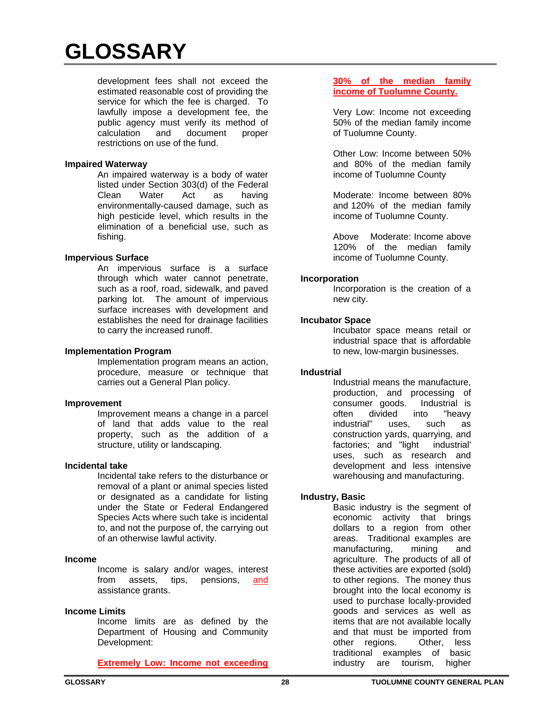development fees shall not exceed the estimated reasonable cost of providing the service for which the fee is charged. To lawfully impose a development fee, the public agency must verify its method of calculation and document proper restrictions on use of the fund.

#### **Impaired Waterway**

An impaired waterway is a body of water listed under Section 303(d) of the Federal Clean Water Act as having environmentally-caused damage, such as high pesticide level, which results in the elimination of a beneficial use, such as fishing.

#### **Impervious Surface**

An impervious surface is a surface through which water cannot penetrate, such as a roof, road, sidewalk, and paved parking lot. The amount of impervious surface increases with development and establishes the need for drainage facilities to carry the increased runoff.

#### **Implementation Program**

Implementation program means an action, procedure, measure or technique that carries out a General Plan policy.

#### **Improvement**

Improvement means a change in a parcel of land that adds value to the real property, such as the addition of a structure, utility or landscaping.

#### **Incidental take**

Incidental take refers to the disturbance or removal of a plant or animal species listed or designated as a candidate for listing under the State or Federal Endangered Species Acts where such take is incidental to, and not the purpose of, the carrying out of an otherwise lawful activity.

#### **Income**

Income is salary and/or wages, interest from assets, tips, pensions, and assistance grants.

# **Income Limits**

Income limits are as defined by the Department of Housing and Community Development:

# **Extremely Low: Income not exceeding**

#### **30% of the median family income of Tuolumne County.**

Very Low: Income not exceeding 50% of the median family income of Tuolumne County.

Other Low: Income between 50% and 80% of the median family income of Tuolumne County

Moderate: Income between 80% and 120% of the median family income of Tuolumne County.

Above Moderate: Income above 120% of the median family income of Tuolumne County.

#### **Incorporation**

Incorporation is the creation of a new city.

# **Incubator Space**

Incubator space means retail or industrial space that is affordable to new, low-margin businesses.

# **Industrial**

Industrial means the manufacture, production, and processing of consumer goods. Industrial is often divided into "heavy industrial" uses, such as construction yards, quarrying, and factories; and "light industrial' uses, such as research and development and less intensive warehousing and manufacturing.

# **Industry, Basic**

Basic industry is the segment of economic activity that brings dollars to a region from other areas. Traditional examples are manufacturing, mining and agriculture. The products of all of these activities are exported (sold) to other regions. The money thus brought into the local economy is used to purchase locally-provided goods and services as well as items that are not available locally and that must be imported from other regions. Other, less traditional examples of basic industry are tourism, higher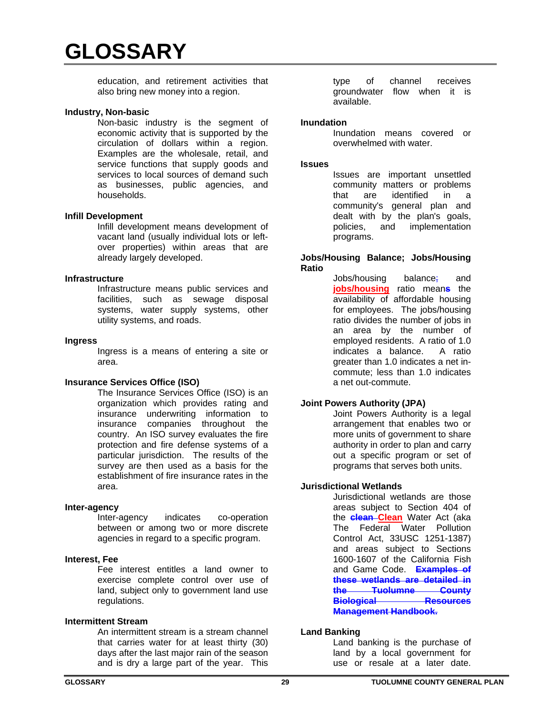education, and retirement activities that also bring new money into a region.

#### **Industry, Non-basic**

Non-basic industry is the segment of economic activity that is supported by the circulation of dollars within a region. Examples are the wholesale, retail, and service functions that supply goods and services to local sources of demand such as businesses, public agencies, and households.

#### **Infill Development**

Infill development means development of vacant land (usually individual lots or leftover properties) within areas that are already largely developed.

#### **Infrastructure**

Infrastructure means public services and facilities, such as sewage disposal systems, water supply systems, other utility systems, and roads.

#### **Ingress**

Ingress is a means of entering a site or area.

# **Insurance Services Office (ISO)**

The Insurance Services Office (ISO) is an organization which provides rating and insurance underwriting information to insurance companies throughout the country. An ISO survey evaluates the fire protection and fire defense systems of a particular jurisdiction. The results of the survey are then used as a basis for the establishment of fire insurance rates in the area.

#### **Inter-agency**

Inter-agency indicates co-operation between or among two or more discrete agencies in regard to a specific program.

#### **Interest, Fee**

Fee interest entitles a land owner to exercise complete control over use of land, subject only to government land use regulations.

#### **Intermittent Stream**

An intermittent stream is a stream channel that carries water for at least thirty (30) days after the last major rain of the season and is dry a large part of the year. This

type of channel receives groundwater flow when it is available.

#### **Inundation**

Inundation means covered or overwhelmed with water.

#### **Issues**

Issues are important unsettled community matters or problems that are identified in a community's general plan and dealt with by the plan's goals, policies, and implementation programs.

#### **Jobs/Housing Balance; Jobs/Housing Ratio**

Jobs/housing balance; and **jobs/housing** ratio mean**s** the availability of affordable housing for employees. The jobs/housing ratio divides the number of jobs in an area by the number of employed residents. A ratio of 1.0 indicates a balance. A ratio greater than 1.0 indicates a net incommute; less than 1.0 indicates a net out-commute.

# **Joint Powers Authority (JPA)**

Joint Powers Authority is a legal arrangement that enables two or more units of government to share authority in order to plan and carry out a specific program or set of programs that serves both units.

# **Jurisdictional Wetlands**

Jurisdictional wetlands are those areas subject to Section 404 of the **clean Clean** Water Act (aka The Federal Water Pollution Control Act, 33USC 1251-1387) and areas subject to Sections 1600-1607 of the California Fish and Game Code. **Examples of these wetlands are detailed in the Tuolumne County Biological Resources Management Handbook.**

# **Land Banking**

Land banking is the purchase of land by a local government for use or resale at a later date.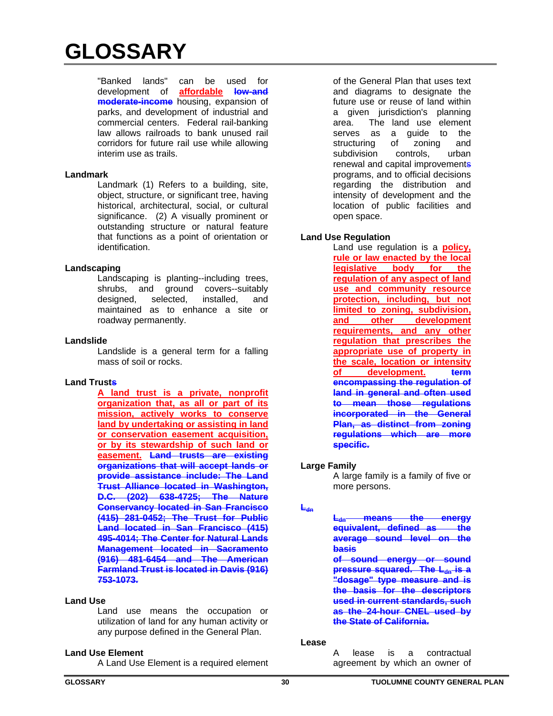"Banked lands" can be used for development of **affordable low-and moderate-income** housing, expansion of parks, and development of industrial and commercial centers. Federal rail-banking law allows railroads to bank unused rail corridors for future rail use while allowing interim use as trails.

#### **Landmark**

Landmark (1) Refers to a building, site, object, structure, or significant tree, having historical, architectural, social, or cultural significance. (2) A visually prominent or outstanding structure or natural feature that functions as a point of orientation or identification.

# **Landscaping**

Landscaping is planting--including trees, shrubs, and ground covers--suitably<br>designed, selected, installed, and installed, and maintained as to enhance a site or roadway permanently.

# **Landslide**

Landslide is a general term for a falling mass of soil or rocks.

# **Land Trusts**

**A land trust is a private, nonprofit organization that, as all or part of its mission, actively works to conserve land by undertaking or assisting in land or conservation easement acquisition, or by its stewardship of such land or easement. Land trusts are existing organizations that will accept lands or provide assistance include: The Land Trust Alliance located in Washington, D.C. (202) 638-4725; The Nature Conservancy located in San Francisco (415) 281-0452; The Trust for Public Land located in San Francisco (415) 495-4014; The Center for Natural Lands Management located in Sacramento (916) 481-6454 and The American Farmland Trust is located in Davis (916) 753-1073.**

# **Land Use**

Land use means the occupation or utilization of land for any human activity or any purpose defined in the General Plan.

# **Land Use Element**

A Land Use Element is a required element

of the General Plan that uses text and diagrams to designate the future use or reuse of land within a given jurisdiction's planning area. The land use element serves as a guide to the structuring of zoning and subdivision controls, urban renewal and capital improvements programs, and to official decisions regarding the distribution and intensity of development and the location of public facilities and open space.

# **Land Use Regulation**

Land use regulation is a **policy, rule or law enacted by the local legislative body for the regulation of any aspect of land use and community resource protection, including, but not limited to zoning, subdivision, and other development requirements, and any other regulation that prescribes the appropriate use of property in the scale, location or intensity of development. term encompassing the regulation of land in general and often used to mean those regulations incorporated in the General Plan, as distinct from zoning regulations which are more specific.**

# **Large Family**

A large family is a family of five or more persons.

# $L_{dn}$

means the energy **equivalent, defined as the average sound level on the basis** 

**of sound energy or sound pressure squared. The L<sub>dn</sub> is a "dosage" type measure and is the basis for the descriptors used in current standards, such as the 24-hour CNEL used by the State of California.**

#### **Lease**

A lease is a contractual agreement by which an owner of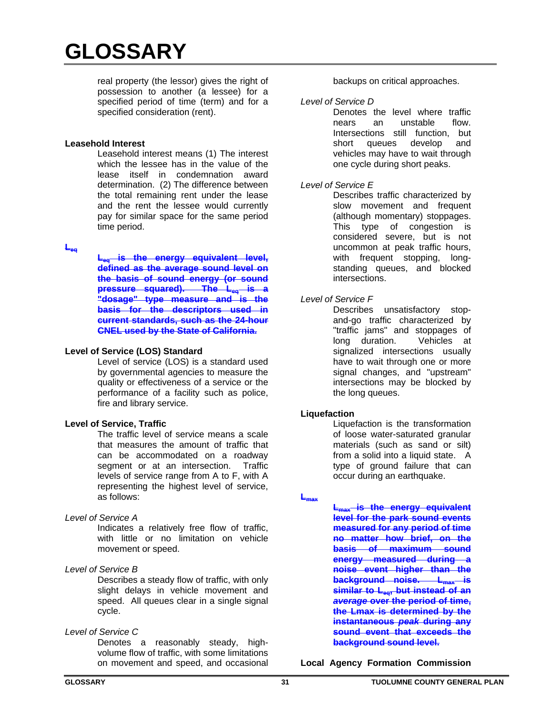real property (the lessor) gives the right of possession to another (a lessee) for a specified period of time (term) and for a specified consideration (rent).

#### **Leasehold Interest**

Leasehold interest means (1) The interest which the lessee has in the value of the lease itself in condemnation award determination. (2) The difference between the total remaining rent under the lease and the rent the lessee would currently pay for similar space for the same period time period.

# **Leq**

**Leta is the energy equivalent level, defined as the average sound level on the basis of sound energy (or sound pressure squared). The Leq is a "dosage" type measure and is the basis for the descriptors used in current standards, such as the 24-hour CNEL used by the State of California.** 

# **Level of Service (LOS) Standard**

Level of service (LOS) is a standard used by governmental agencies to measure the quality or effectiveness of a service or the performance of a facility such as police, fire and library service.

# **Level of Service, Traffic**

The traffic level of service means a scale that measures the amount of traffic that can be accommodated on a roadway segment or at an intersection. Traffic levels of service range from A to F, with A representing the highest level of service, as follows:

#### *Level of Service A*

Indicates a relatively free flow of traffic, with little or no limitation on vehicle movement or speed.

# *Level of Service B*

Describes a steady flow of traffic, with only slight delays in vehicle movement and speed. All queues clear in a single signal cycle.

# *Level of Service C*

Denotes a reasonably steady, highvolume flow of traffic, with some limitations on movement and speed, and occasional

backups on critical approaches.

*Level of Service D*

Denotes the level where traffic nears an unstable flow. Intersections still function, but short queues develop and vehicles may have to wait through one cycle during short peaks.

# *Level of Service E*

Describes traffic characterized by slow movement and frequent (although momentary) stoppages. This type of congestion is considered severe, but is not uncommon at peak traffic hours, with frequent stopping, longstanding queues, and blocked intersections.

# *Level of Service F*

Describes unsatisfactory stopand-go traffic characterized by "traffic jams" and stoppages of long duration. Vehicles at signalized intersections usually have to wait through one or more signal changes, and "upstream" intersections may be blocked by the long queues.

# **Liquefaction**

Liquefaction is the transformation of loose water-saturated granular materials (such as sand or silt) from a solid into a liquid state. A type of ground failure that can occur during an earthquake.

#### $L_{\text{max}}$

**L**<sub>max</sub> is the energy equivalent **level for the park sound events measured for any period of time no matter how brief, on the basis of maximum sound energy measured during a noise event higher than the background noise.** L<sub>max</sub> is similar to L<sub>eg</sub>, but instead of an *average* **over the period of time, the Lmax is determined by the instantaneous** *peak* **during any sound event that exceeds the background sound level.** 

**Local Agency Formation Commission**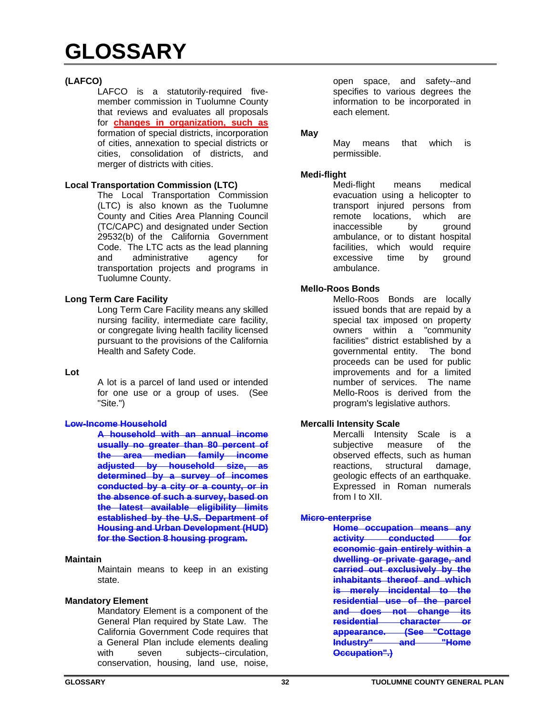# **(LAFCO)**

LAFCO is a statutorily-required fivemember commission in Tuolumne County that reviews and evaluates all proposals for **changes in organization, such as** formation of special districts, incorporation of cities, annexation to special districts or cities, consolidation of districts, and merger of districts with cities.

# **Local Transportation Commission (LTC)**

The Local Transportation Commission (LTC) is also known as the Tuolumne County and Cities Area Planning Council (TC/CAPC) and designated under Section 29532(b) of the California Government Code. The LTC acts as the lead planning and administrative agency for transportation projects and programs in Tuolumne County.

# **Long Term Care Facility**

Long Term Care Facility means any skilled nursing facility, intermediate care facility, or congregate living health facility licensed pursuant to the provisions of the California Health and Safety Code.

#### **Lot**

A lot is a parcel of land used or intended for one use or a group of uses. (See "Site.")

# **Low-Income Household**

**A household with an annual income usually no greater than 80 percent of the area median family income adjusted by household size, as determined by a survey of incomes conducted by a city or a county, or in the absence of such a survey, based on the latest available eligibility limits established by the U.S. Department of Housing and Urban Development (HUD) for the Section 8 housing program.** 

#### **Maintain**

Maintain means to keep in an existing state.

#### **Mandatory Element**

Mandatory Element is a component of the General Plan required by State Law. The California Government Code requires that a General Plan include elements dealing with seven subjects--circulation, conservation, housing, land use, noise,

open space, and safety--and specifies to various degrees the information to be incorporated in each element.

#### **May**

May means that which is permissible.

#### **Medi-flight**

Medi-flight means medical evacuation using a helicopter to transport injured persons from remote locations, which are inaccessible by ground ambulance, or to distant hospital facilities, which would require excessive time by ground ambulance.

#### **Mello-Roos Bonds**

Mello-Roos Bonds are locally issued bonds that are repaid by a special tax imposed on property owners within a "community facilities" district established by a governmental entity. The bond proceeds can be used for public improvements and for a limited number of services. The name Mello-Roos is derived from the program's legislative authors.

# **Mercalli Intensity Scale**

Mercalli Intensity Scale is a subjective measure of the observed effects, such as human reactions, structural damage, geologic effects of an earthquake. Expressed in Roman numerals from I to XII.

# **Micro-enterprise**

**Home occupation means any activity conducted for economic gain entirely within a dwelling or private garage, and carried out exclusively by the inhabitants thereof and which is merely incidental to the residential use of the parcel and does not change its residential character or appearance. (See "Cottage Industry" Occupation".)**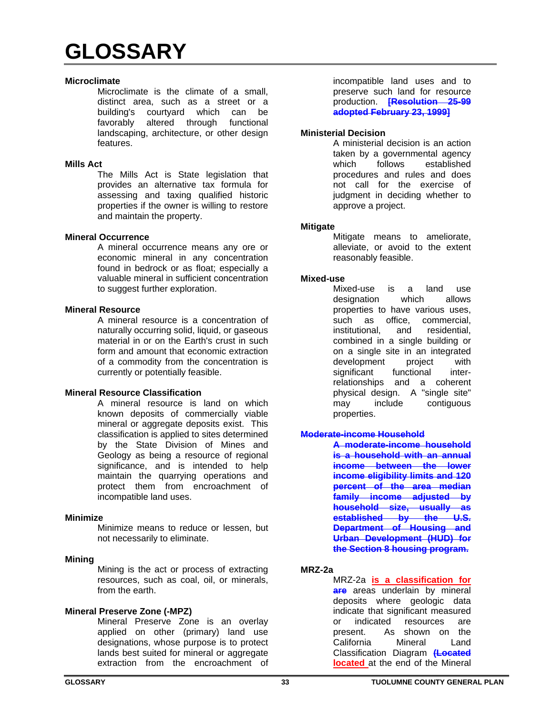#### **Microclimate**

Microclimate is the climate of a small, distinct area, such as a street or a building's courtyard which can be favorably altered through functional landscaping, architecture, or other design features.

#### **Mills Act**

The Mills Act is State legislation that provides an alternative tax formula for assessing and taxing qualified historic properties if the owner is willing to restore and maintain the property.

#### **Mineral Occurrence**

A mineral occurrence means any ore or economic mineral in any concentration found in bedrock or as float; especially a valuable mineral in sufficient concentration to suggest further exploration.

# **Mineral Resource**

A mineral resource is a concentration of naturally occurring solid, liquid, or gaseous material in or on the Earth's crust in such form and amount that economic extraction of a commodity from the concentration is currently or potentially feasible.

# **Mineral Resource Classification**

A mineral resource is land on which known deposits of commercially viable mineral or aggregate deposits exist. This classification is applied to sites determined by the State Division of Mines and Geology as being a resource of regional significance, and is intended to help maintain the quarrying operations and protect them from encroachment of incompatible land uses.

#### **Minimize**

Minimize means to reduce or lessen, but not necessarily to eliminate.

#### **Mining**

Mining is the act or process of extracting resources, such as coal, oil, or minerals, from the earth.

# **Mineral Preserve Zone (-MPZ)**

Mineral Preserve Zone is an overlay applied on other (primary) land use designations, whose purpose is to protect lands best suited for mineral or aggregate extraction from the encroachment of

incompatible land uses and to preserve such land for resource production. **[Resolution 25-99 adopted February 23, 1999]**

#### **Ministerial Decision**

A ministerial decision is an action taken by a governmental agency which follows established procedures and rules and does not call for the exercise of judgment in deciding whether to approve a project.

#### **Mitigate**

Mitigate means to ameliorate, alleviate, or avoid to the extent reasonably feasible.

#### **Mixed-use**

Mixed-use is a land use designation which allows properties to have various uses, such as office, commercial, institutional, and residential, combined in a single building or on a single site in an integrated development project with significant functional interrelationships and a coherent physical design. A "single site" may include contiguous properties.

#### **Moderate-income Household**

**A moderate-income household is a household with an annual income between the lower income eligibility limits and 120 percent of the area median family income adjusted by household size, usually as established by the U.S. Department of Housing and Urban Development (HUD) for the Section 8 housing program.** 

# **MRZ-2a**

MRZ-2a **is a classification for are** areas underlain by mineral deposits where geologic data indicate that significant measured or indicated resources are present. As shown on the California Mineral Land Classification Diagram **(Located located** at the end of the Mineral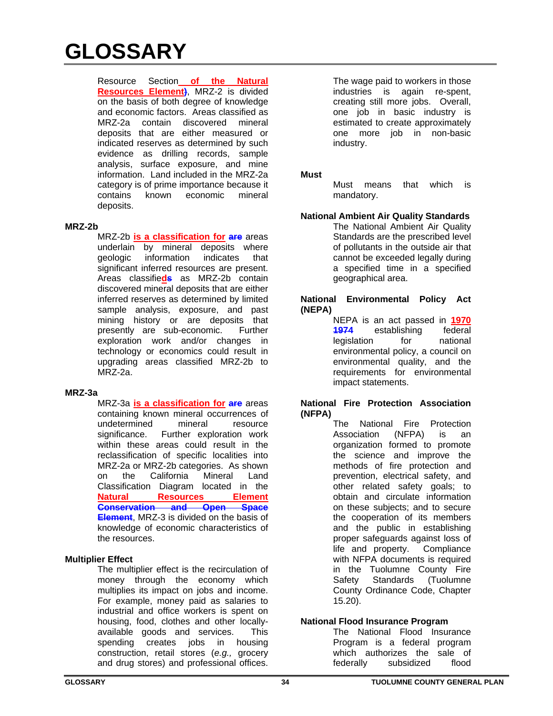Resource Section **of the Natural Resources Element)**, MRZ-2 is divided on the basis of both degree of knowledge and economic factors. Areas classified as MRZ-2a contain discovered mineral deposits that are either measured or indicated reserves as determined by such evidence as drilling records, sample analysis, surface exposure, and mine information. Land included in the MRZ-2a category is of prime importance because it contains known economic mineral deposits.

# **MRZ-2b**

MRZ-2b **is a classification for are** areas underlain by mineral deposits where geologic information indicates that significant inferred resources are present. Areas classifie**ds** as MRZ-2b contain discovered mineral deposits that are either inferred reserves as determined by limited sample analysis, exposure, and past mining history or are deposits that presently are sub-economic. Further exploration work and/or changes in technology or economics could result in upgrading areas classified MRZ-2b to MRZ-2a.

# **MRZ-3a**

MRZ-3a **is a classification for are** areas containing known mineral occurrences of undetermined mineral resource significance. Further exploration work within these areas could result in the reclassification of specific localities into MRZ-2a or MRZ-2b categories. As shown on the California Mineral Land Classification Diagram located in the **Natural Resources Element Conservation and Open Space Element**, MRZ-3 is divided on the basis of knowledge of economic characteristics of the resources.

# **Multiplier Effect**

The multiplier effect is the recirculation of money through the economy which multiplies its impact on jobs and income. For example, money paid as salaries to industrial and office workers is spent on housing, food, clothes and other locallyavailable goods and services. This spending creates jobs in housing construction, retail stores (*e.g.,* grocery and drug stores) and professional offices.

The wage paid to workers in those industries is again re-spent, creating still more jobs. Overall, one job in basic industry is estimated to create approximately one more job in non-basic industry.

# **Must**

Must means that which is mandatory.

**National Ambient Air Quality Standards** The National Ambient Air Quality Standards are the prescribed level of pollutants in the outside air that cannot be exceeded legally during a specified time in a specified geographical area.

#### **National Environmental Policy Act (NEPA)**

NEPA is an act passed in **1970 1974** establishing federal legislation for national environmental policy, a council on environmental quality, and the requirements for environmental impact statements.

# **National Fire Protection Association (NFPA)**

The National Fire Protection Association (NFPA) is an organization formed to promote the science and improve the methods of fire protection and prevention, electrical safety, and other related safety goals; to obtain and circulate information on these subjects; and to secure the cooperation of its members and the public in establishing proper safeguards against loss of life and property. Compliance with NFPA documents is required in the Tuolumne County Fire Safety Standards (Tuolumne County Ordinance Code, Chapter 15.20).

# **National Flood Insurance Program**

The National Flood Insurance Program is a federal program which authorizes the sale of federally subsidized flood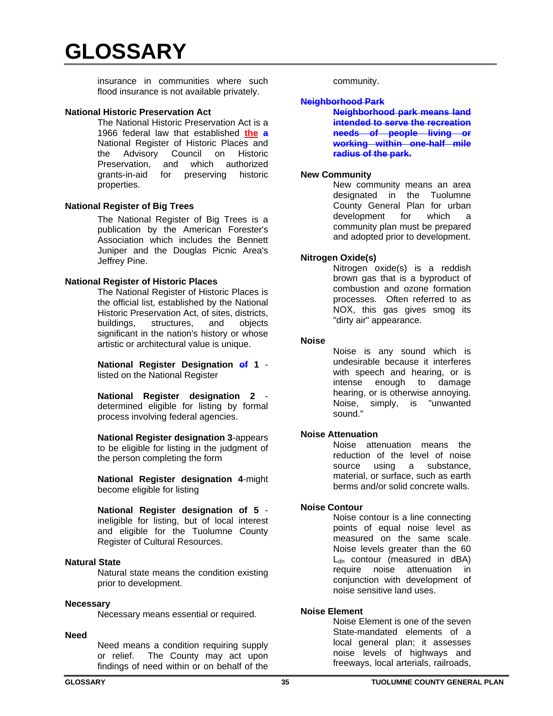insurance in communities where such flood insurance is not available privately.

#### **National Historic Preservation Act**

The National Historic Preservation Act is a 1966 federal law that established **the a** National Register of Historic Places and the Advisory Council on Historic Preservation, and which authorized grants-in-aid for preserving historic properties.

#### **National Register of Big Trees**

The National Register of Big Trees is a publication by the American Forester's Association which includes the Bennett Juniper and the Douglas Picnic Area's Jeffrey Pine.

#### **National Register of Historic Places**

The National Register of Historic Places is the official list, established by the National Historic Preservation Act, of sites, districts, buildings, structures, and objects significant in the nation's history or whose artistic or architectural value is unique.

**National Register Designation of 1** listed on the National Register

**National Register designation 2** determined eligible for listing by formal process involving federal agencies.

**National Register designation 3**-appears to be eligible for listing in the judgment of the person completing the form

**National Register designation 4**-might become eligible for listing

**National Register designation of 5** ineligible for listing, but of local interest and eligible for the Tuolumne County Register of Cultural Resources.

# **Natural State**

Natural state means the condition existing prior to development.

#### **Necessary**

Necessary means essential or required.

#### **Need**

Need means a condition requiring supply or relief. The County may act upon findings of need within or on behalf of the

community.

#### **Neighborhood Park**

**Neighborhood park means land intended to serve the recreation needs of people living or working within one-half mile radius of the park.**

#### **New Community**

New community means an area designated in the Tuolumne County General Plan for urban development for which a community plan must be prepared and adopted prior to development.

#### **Nitrogen Oxide(s)**

Nitrogen oxide(s) is a reddish brown gas that is a byproduct of combustion and ozone formation processes. Often referred to as NOX, this gas gives smog its "dirty air" appearance.

#### **Noise**

Noise is any sound which is undesirable because it interferes with speech and hearing, or is intense enough to damage hearing, or is otherwise annoying. Noise, simply, is "unwanted sound."

# **Noise Attenuation**

Noise attenuation means the reduction of the level of noise source using a substance, material, or surface, such as earth berms and/or solid concrete walls.

# **Noise Contour**

Noise contour is a line connecting points of equal noise level as measured on the same scale. Noise levels greater than the 60  $L_{dn}$  contour (measured in dBA) require noise attenuation in conjunction with development of noise sensitive land uses.

# **Noise Element**

Noise Element is one of the seven State-mandated elements of a local general plan; it assesses noise levels of highways and freeways, local arterials, railroads,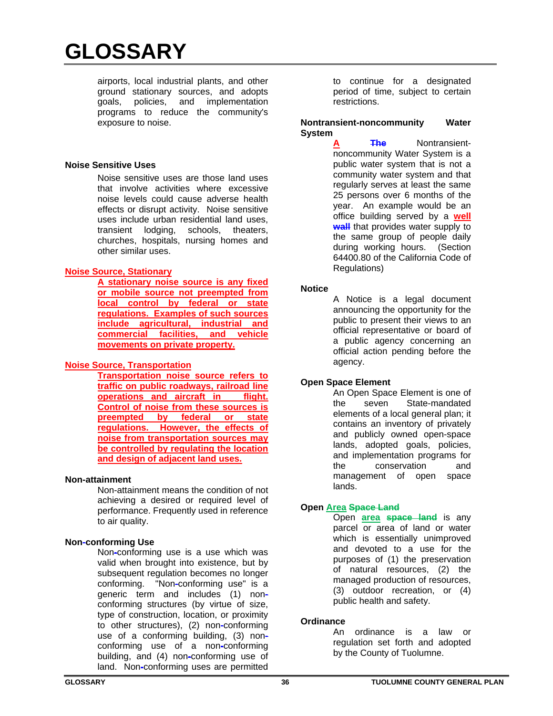airports, local industrial plants, and other ground stationary sources, and adopts goals, policies, and implementation programs to reduce the community's exposure to noise.

# **Noise Sensitive Uses**

Noise sensitive uses are those land uses that involve activities where excessive noise levels could cause adverse health effects or disrupt activity. Noise sensitive uses include urban residential land uses, transient lodging, schools, theaters, churches, hospitals, nursing homes and other similar uses.

# **Noise Source, Stationary**

**A stationary noise source is any fixed or mobile source not preempted from local control by federal or state regulations. Examples of such sources include agricultural, industrial and commercial facilities, and vehicle movements on private property.** 

# **Noise Source, Transportation**

**Transportation noise source refers to traffic on public roadways, railroad line operations and aircraft in flight. Control of noise from these sources is preempted by federal or state regulations. However, the effects of noise from transportation sources may be controlled by regulating the location and design of adjacent land uses.** 

#### **Non-attainment**

Non-attainment means the condition of not achieving a desired or required level of performance. Frequently used in reference to air quality.

# **Non-conforming Use**

Non**-**conforming use is a use which was valid when brought into existence, but by subsequent requiation becomes no longer conforming. "Non**-**conforming use" is a generic term and includes (1) nonconforming structures (by virtue of size, type of construction, location, or proximity to other structures), (2) non**-**conforming use of a conforming building, (3) nonconforming use of a non**-**conforming building, and (4) non**-**conforming use of land. Non**-**conforming uses are permitted

to continue for a designated period of time, subject to certain restrictions.

#### **Nontransient-noncommunity Water System**

**A The** Nontransientnoncommunity Water System is a public water system that is not a community water system and that regularly serves at least the same 25 persons over 6 months of the year. An example would be an office building served by a **well wall** that provides water supply to the same group of people daily during working hours. (Section 64400.80 of the California Code of Regulations)

# **Notice**

A Notice is a legal document announcing the opportunity for the public to present their views to an official representative or board of a public agency concerning an official action pending before the agency.

# **Open Space Element**

An Open Space Element is one of the seven State-mandated elements of a local general plan; it contains an inventory of privately and publicly owned open-space lands, adopted goals, policies, and implementation programs for the conservation and management of open space lands.

# **Open Area Space Land**

Open **area space land** is any parcel or area of land or water which is essentially unimproved and devoted to a use for the purposes of (1) the preservation of natural resources, (2) the managed production of resources, (3) outdoor recreation, or (4) public health and safety.

# **Ordinance**

An ordinance is a law or regulation set forth and adopted by the County of Tuolumne.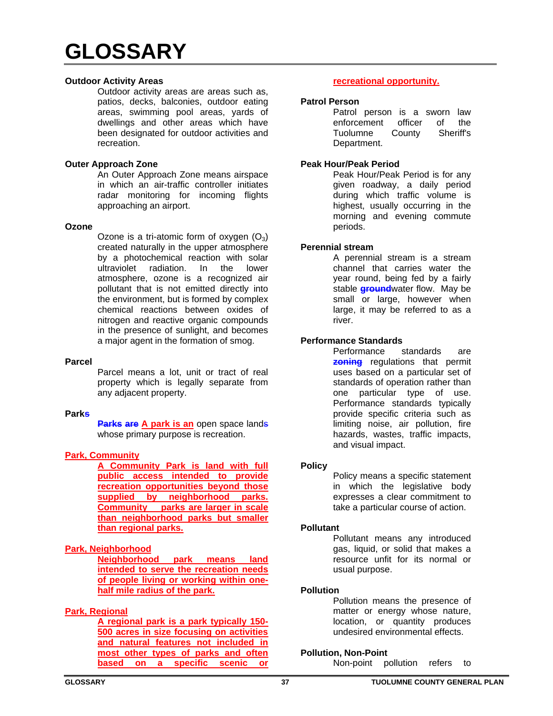# **Outdoor Activity Areas**

Outdoor activity areas are areas such as, patios, decks, balconies, outdoor eating areas, swimming pool areas, yards of dwellings and other areas which have been designated for outdoor activities and recreation.

#### **Outer Approach Zone**

An Outer Approach Zone means airspace in which an air-traffic controller initiates radar monitoring for incoming flights approaching an airport.

#### **Ozone**

Ozone is a tri-atomic form of oxygen  $(O_3)$ created naturally in the upper atmosphere by a photochemical reaction with solar ultraviolet radiation. In the lower atmosphere, ozone is a recognized air pollutant that is not emitted directly into the environment, but is formed by complex chemical reactions between oxides of nitrogen and reactive organic compounds in the presence of sunlight, and becomes a major agent in the formation of smog.

#### **Parcel**

Parcel means a lot, unit or tract of real property which is legally separate from any adjacent property.

#### **Parks**

**Parks are A park is an** open space lands whose primary purpose is recreation.

# **Park, Community**

**A Community Park is land with full public access intended to provide recreation opportunities beyond those supplied by neighborhood parks. Community parks are larger in scale than neighborhood parks but smaller than regional parks.** 

# **Park, Neighborhood**

**Neighborhood park means land intended to serve the recreation needs of people living or working within onehalf mile radius of the park.** 

# **Park, Regional**

**A regional park is a park typically 150- 500 acres in size focusing on activities and natural features not included in most other types of parks and often based on a specific scenic or** 

# **recreational opportunity.**

#### **Patrol Person**

Patrol person is a sworn law enforcement officer of the Tuolumne County Sheriff's Department.

# **Peak Hour/Peak Period**

Peak Hour/Peak Period is for any given roadway, a daily period during which traffic volume is highest, usually occurring in the morning and evening commute periods.

# **Perennial stream**

A perennial stream is a stream channel that carries water the year round, being fed by a fairly stable **ground**water flow. May be small or large, however when large, it may be referred to as a river.

# **Performance Standards**

Performance standards are **zoning** regulations that permit uses based on a particular set of standards of operation rather than one particular type of use. Performance standards typically provide specific criteria such as limiting noise, air pollution, fire hazards, wastes, traffic impacts, and visual impact.

#### **Policy**

Policy means a specific statement in which the legislative body expresses a clear commitment to take a particular course of action.

#### **Pollutant**

Pollutant means any introduced gas, liquid, or solid that makes a resource unfit for its normal or usual purpose.

#### **Pollution**

Pollution means the presence of matter or energy whose nature, location, or quantity produces undesired environmental effects.

#### **Pollution, Non-Point**

Non-point pollution refers to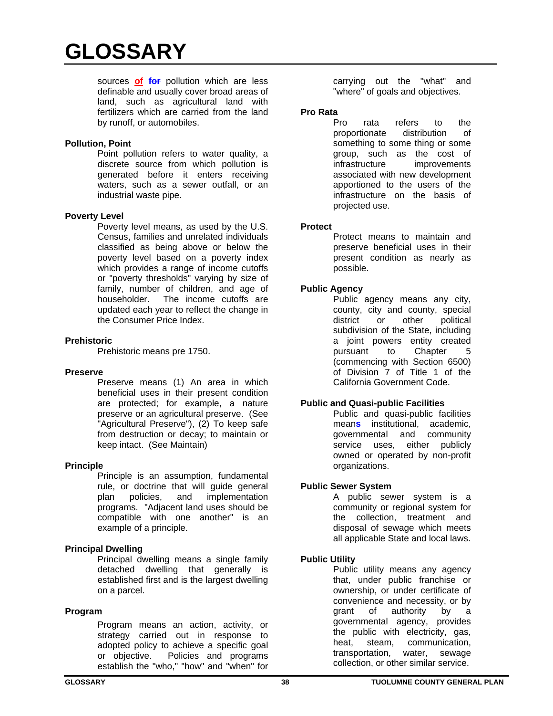sources **of for** pollution which are less definable and usually cover broad areas of land, such as agricultural land with fertilizers which are carried from the land by runoff, or automobiles.

# **Pollution, Point**

Point pollution refers to water quality, a discrete source from which pollution is generated before it enters receiving waters, such as a sewer outfall, or an industrial waste pipe.

#### **Poverty Level**

Poverty level means, as used by the U.S. Census, families and unrelated individuals classified as being above or below the poverty level based on a poverty index which provides a range of income cutoffs or "poverty thresholds" varying by size of family, number of children, and age of householder. The income cutoffs are updated each year to reflect the change in the Consumer Price Index.

#### **Prehistoric**

Prehistoric means pre 1750.

#### **Preserve**

Preserve means (1) An area in which beneficial uses in their present condition are protected; for example, a nature preserve or an agricultural preserve. (See "Agricultural Preserve"), (2) To keep safe from destruction or decay; to maintain or keep intact. (See Maintain)

#### **Principle**

Principle is an assumption, fundamental rule, or doctrine that will guide general plan policies, and implementation programs. "Adjacent land uses should be compatible with one another" is an example of a principle.

#### **Principal Dwelling**

Principal dwelling means a single family detached dwelling that generally is established first and is the largest dwelling on a parcel.

#### **Program**

Program means an action, activity, or strategy carried out in response to adopted policy to achieve a specific goal or objective. Policies and programs establish the "who," "how" and "when" for

carrying out the "what" and "where" of goals and objectives.

#### **Pro Rata**

Pro rata refers to the proportionate distribution of something to some thing or some group, such as the cost of infrastructure improvements associated with new development apportioned to the users of the infrastructure on the basis of projected use.

#### **Protect**

Protect means to maintain and preserve beneficial uses in their present condition as nearly as possible.

# **Public Agency**

Public agency means any city, county, city and county, special district or other political subdivision of the State, including a joint powers entity created pursuant to Chapter 5 (commencing with Section 6500) of Division 7 of Title 1 of the California Government Code.

# **Public and Quasi-public Facilities**

Public and quasi-public facilities mean**s** institutional, academic, governmental and community service uses, either publicly owned or operated by non-profit organizations.

# **Public Sewer System**

A public sewer system is a community or regional system for the collection, treatment and disposal of sewage which meets all applicable State and local laws.

# **Public Utility**

Public utility means any agency that, under public franchise or ownership, or under certificate of convenience and necessity, or by grant of authority by a governmental agency, provides the public with electricity, gas, heat, steam, communication, transportation, water, sewage collection, or other similar service.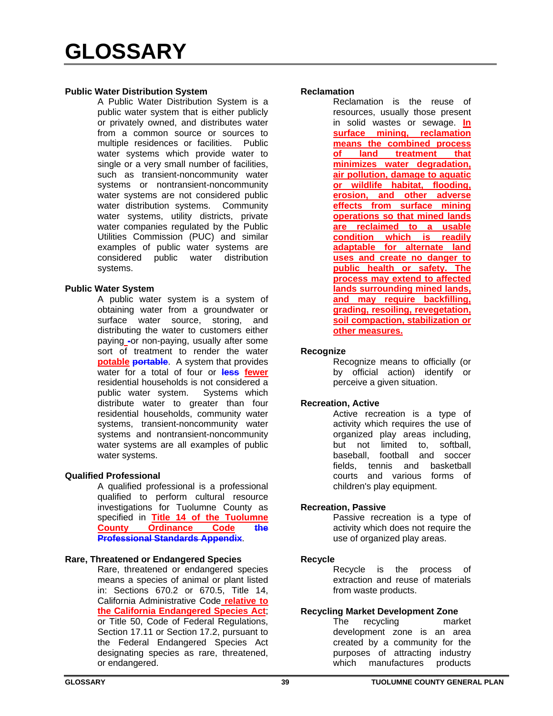#### **Public Water Distribution System**

A Public Water Distribution System is a public water system that is either publicly or privately owned, and distributes water from a common source or sources to multiple residences or facilities. Public water systems which provide water to single or a very small number of facilities, such as transient-noncommunity water systems or nontransient-noncommunity water systems are not considered public water distribution systems. Community water systems, utility districts, private water companies regulated by the Public Utilities Commission (PUC) and similar examples of public water systems are considered public water distribution systems.

#### **Public Water System**

A public water system is a system of obtaining water from a groundwater or surface water source, storing, and distributing the water to customers either paying **-**or non-paying, usually after some sort of treatment to render the water **potable portable**. A system that provides water for a total of four or **less fewer** residential households is not considered a public water system. Systems which distribute water to greater than four residential households, community water systems, transient-noncommunity water systems and nontransient-noncommunity water systems are all examples of public water systems.

# **Qualified Professional**

A qualified professional is a professional qualified to perform cultural resource investigations for Tuolumne County as specified in **Title 14 of the Tuolumne County Ordinance Code the Professional Standards Appendix**.

#### **Rare, Threatened or Endangered Species**

Rare, threatened or endangered species means a species of animal or plant listed in: Sections 670.2 or 670.5, Title 14, California Administrative Code **relative to the California Endangered Species Act**; or Title 50, Code of Federal Regulations, Section 17.11 or Section 17.2, pursuant to the Federal Endangered Species Act designating species as rare, threatened, or endangered.

#### **Reclamation**

Reclamation is the reuse of resources, usually those present in solid wastes or sewage. **In surface mining, reclamation means the combined process of land treatment that minimizes water degradation, air pollution, damage to aquatic or wildlife habitat, flooding, erosion, and other adverse effects from surface mining operations so that mined lands are reclaimed to a usable condition which is readily adaptable for alternate land uses and create no danger to public health or safety. The process may extend to affected lands surrounding mined lands, and may require backfilling, grading, resoiling, revegetation, soil compaction, stabilization or other measures.**

#### **Recognize**

Recognize means to officially (or by official action) identify or perceive a given situation.

# **Recreation, Active**

Active recreation is a type of activity which requires the use of organized play areas including, but not limited to, softball, baseball, football and soccer fields, tennis and basketball courts and various forms of children's play equipment.

#### **Recreation, Passive**

Passive recreation is a type of activity which does not require the use of organized play areas.

#### **Recycle**

Recycle is the process of extraction and reuse of materials from waste products.

# **Recycling Market Development Zone**

The recycling market development zone is an area created by a community for the purposes of attracting industry which manufactures products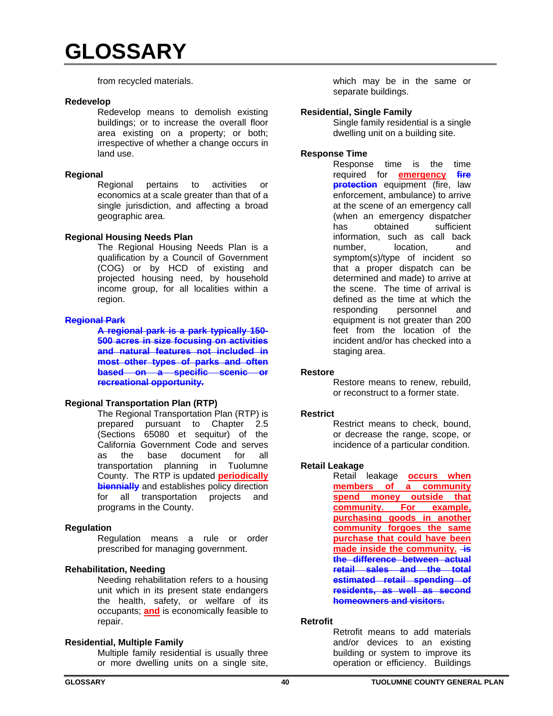from recycled materials.

#### **Redevelop**

Redevelop means to demolish existing buildings; or to increase the overall floor area existing on a property; or both; irrespective of whether a change occurs in land use.

#### **Regional**

Regional pertains to activities or economics at a scale greater than that of a single jurisdiction, and affecting a broad geographic area.

#### **Regional Housing Needs Plan**

The Regional Housing Needs Plan is a qualification by a Council of Government (COG) or by HCD of existing and projected housing need, by household income group, for all localities within a region.

# **Regional Park**

**A regional park is a park typically 150- 500 acres in size focusing on activities and natural features not included in most other types of parks and often based on a specific scenic or recreational opportunity.** 

#### **Regional Transportation Plan (RTP)**

The Regional Transportation Plan (RTP) is prepared pursuant to Chapter 2.5 (Sections 65080 et sequitur) of the California Government Code and serves as the base document for all transportation planning in Tuolumne County. The RTP is updated **periodically biennially** and establishes policy direction for all transportation projects and programs in the County.

#### **Regulation**

Regulation means a rule or order prescribed for managing government.

# **Rehabilitation, Needing**

Needing rehabilitation refers to a housing unit which in its present state endangers the health, safety, or welfare of its occupants; **and** is economically feasible to repair.

#### **Residential, Multiple Family**

Multiple family residential is usually three or more dwelling units on a single site,

which may be in the same or separate buildings.

#### **Residential, Single Family**

Single family residential is a single dwelling unit on a building site.

#### **Response Time**

Response time is the time required for **emergency fire protection** equipment (fire, law enforcement, ambulance) to arrive at the scene of an emergency call (when an emergency dispatcher has obtained sufficient information, such as call back number, location, and symptom(s)/type of incident so that a proper dispatch can be determined and made) to arrive at the scene. The time of arrival is defined as the time at which the responding personnel and equipment is not greater than 200 feet from the location of the incident and/or has checked into a staging area.

#### **Restore**

Restore means to renew, rebuild, or reconstruct to a former state.

#### **Restrict**

Restrict means to check, bound, or decrease the range, scope, or incidence of a particular condition.

#### **Retail Leakage**

Retail leakage **occurs when members of a community spend money outside that community. For example, purchasing goods in another community forgoes the same purchase that could have been**  made inside the community. **is the difference between actual retail sales and the total estimated retail spending of residents, as well as second homeowners and visitors.**

#### **Retrofit**

Retrofit means to add materials and/or devices to an existing building or system to improve its operation or efficiency. Buildings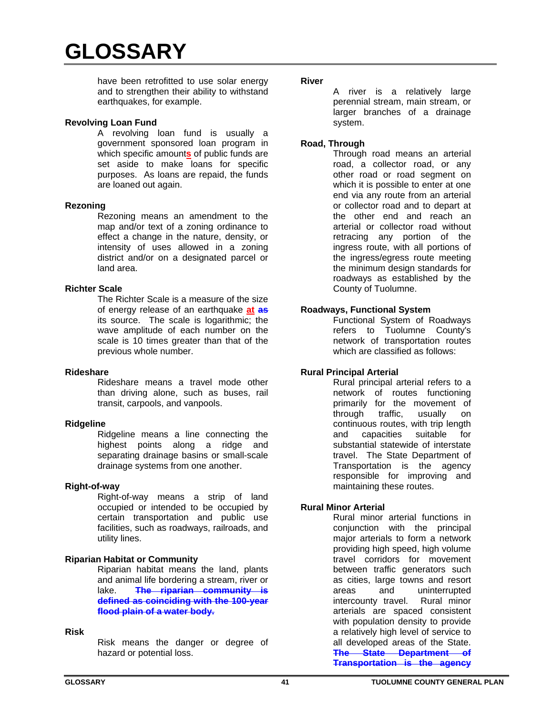have been retrofitted to use solar energy and to strengthen their ability to withstand earthquakes, for example.

# **Revolving Loan Fund**

A revolving loan fund is usually a government sponsored loan program in which specific amount**s** of public funds are set aside to make loans for specific purposes. As loans are repaid, the funds are loaned out again.

#### **Rezoning**

Rezoning means an amendment to the map and/or text of a zoning ordinance to effect a change in the nature, density, or intensity of uses allowed in a zoning district and/or on a designated parcel or land area.

#### **Richter Scale**

The Richter Scale is a measure of the size of energy release of an earthquake **at as** its source. The scale is logarithmic; the wave amplitude of each number on the scale is 10 times greater than that of the previous whole number.

#### **Rideshare**

Rideshare means a travel mode other than driving alone, such as buses, rail transit, carpools, and vanpools.

#### **Ridgeline**

Ridgeline means a line connecting the highest points along a ridge and separating drainage basins or small-scale drainage systems from one another.

#### **Right-of-way**

Right-of-way means a strip of land occupied or intended to be occupied by certain transportation and public use facilities, such as roadways, railroads, and utility lines.

# **Riparian Habitat or Community**

Riparian habitat means the land, plants and animal life bordering a stream, river or lake. **The riparian community is defined as coinciding with the 100-year flood plain of a water body.**

#### **Risk**

Risk means the danger or degree of hazard or potential loss.

#### **River**

A river is a relatively large perennial stream, main stream, or larger branches of a drainage system.

#### **Road, Through**

Through road means an arterial road, a collector road, or any other road or road segment on which it is possible to enter at one end via any route from an arterial or collector road and to depart at the other end and reach an arterial or collector road without retracing any portion of the ingress route, with all portions of the ingress/egress route meeting the minimum design standards for roadways as established by the County of Tuolumne.

# **Roadways, Functional System**

Functional System of Roadways refers to Tuolumne County's network of transportation routes which are classified as follows:

# **Rural Principal Arterial**

Rural principal arterial refers to a network of routes functioning primarily for the movement of through traffic, usually on continuous routes, with trip length and capacities suitable for substantial statewide of interstate travel. The State Department of Transportation is the agency responsible for improving and maintaining these routes.

# **Rural Minor Arterial**

Rural minor arterial functions in conjunction with the principal major arterials to form a network providing high speed, high volume travel corridors for movement between traffic generators such as cities, large towns and resort areas and uninterrupted intercounty travel. Rural minor arterials are spaced consistent with population density to provide a relatively high level of service to all developed areas of the State. **The State Department of Transportation is the agency**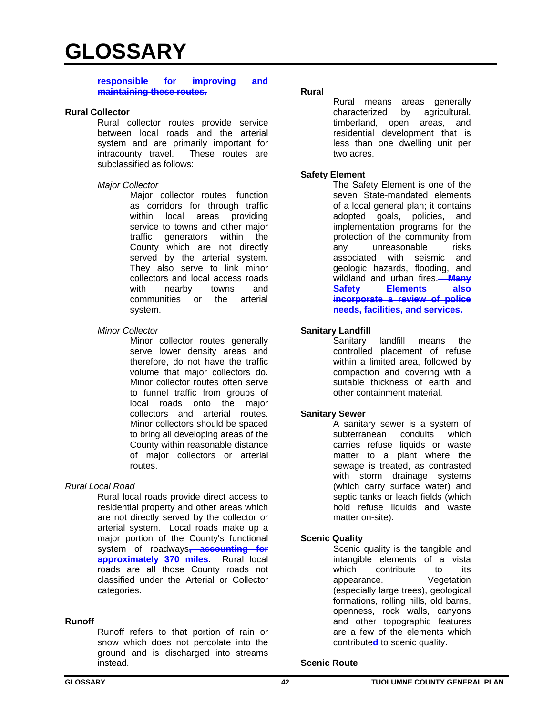#### **responsible for improving and maintaining these routes.**

#### **Rural Collector**

Rural collector routes provide service between local roads and the arterial system and are primarily important for intracounty travel. These routes are subclassified as follows:

#### *Major Collector*

Major collector routes function as corridors for through traffic within local areas providing service to towns and other major traffic generators within the County which are not directly served by the arterial system. They also serve to link minor collectors and local access roads with nearby towns and communities or the arterial system.

#### *Minor Collector*

Minor collector routes generally serve lower density areas and therefore, do not have the traffic volume that major collectors do. Minor collector routes often serve to funnel traffic from groups of local roads onto the major collectors and arterial routes. Minor collectors should be spaced to bring all developing areas of the County within reasonable distance of major collectors or arterial routes.

#### *Rural Local Road*

Rural local roads provide direct access to residential property and other areas which are not directly served by the collector or arterial system. Local roads make up a major portion of the County's functional system of roadways**, accounting for approximately 370 miles**. Rural local roads are all those County roads not classified under the Arterial or Collector categories.

#### **Runoff**

Runoff refers to that portion of rain or snow which does not percolate into the ground and is discharged into streams instead.

#### **Rural**

Rural means areas generally characterized by agricultural, timberland, open areas, and residential development that is less than one dwelling unit per two acres.

#### **Safety Element**

The Safety Element is one of the seven State-mandated elements of a local general plan; it contains adopted goals, policies, and implementation programs for the protection of the community from any unreasonable risks associated with seismic and geologic hazards, flooding, and wildland and urban fires. **Many Safety Elements also incorporate a review of police needs, facilities, and services.**

#### **Sanitary Landfill**

Sanitary landfill means the controlled placement of refuse within a limited area, followed by compaction and covering with a suitable thickness of earth and other containment material.

#### **Sanitary Sewer**

A sanitary sewer is a system of subterranean conduits which carries refuse liquids or waste matter to a plant where the sewage is treated, as contrasted with storm drainage systems (which carry surface water) and septic tanks or leach fields (which hold refuse liquids and waste matter on-site).

#### **Scenic Quality**

Scenic quality is the tangible and intangible elements of a vista which contribute to its appearance. Vegetation (especially large trees), geological formations, rolling hills, old barns, openness, rock walls, canyons and other topographic features are a few of the elements which contribute**d** to scenic quality.

#### **Scenic Route**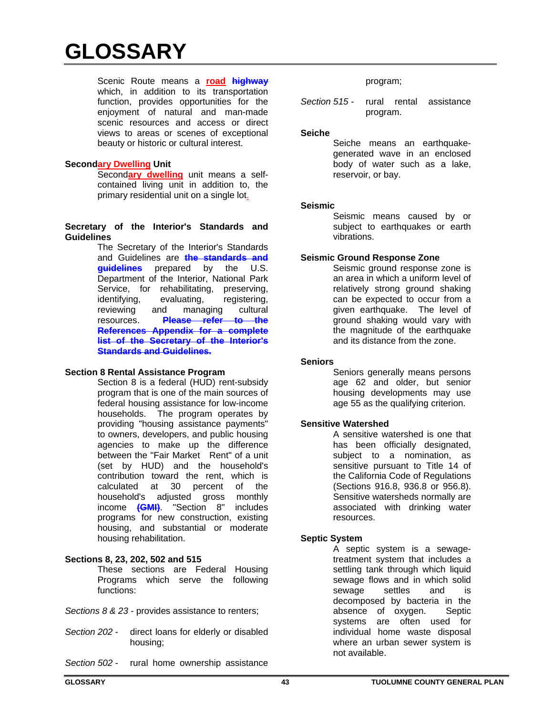Scenic Route means a **road highway** which, in addition to its transportation function, provides opportunities for the enjoyment of natural and man-made scenic resources and access or direct views to areas or scenes of exceptional beauty or historic or cultural interest.

#### **Secondary Dwelling Unit**

Second**ary dwelling** unit means a selfcontained living unit in addition to, the primary residential unit on a single lot.

#### **Secretary of the Interior's Standards and Guidelines**

The Secretary of the Interior's Standards and Guidelines are **the standards and guidelines** prepared by the U.S. Department of the Interior, National Park Service, for rehabilitating, preserving, identifying, evaluating, registering, reviewing and managing cultural resources. **Please refer to the References Appendix for a complete list of the Secretary of the Interior's Standards and Guidelines.**

# **Section 8 Rental Assistance Program**

Section 8 is a federal (HUD) rent-subsidy program that is one of the main sources of federal housing assistance for low-income households. The program operates by providing "housing assistance payments" to owners, developers, and public housing agencies to make up the difference between the "Fair Market Rent" of a unit (set by HUD) and the household's contribution toward the rent, which is calculated at 30 percent of the household's adjusted gross monthly income **(GMI)**. "Section 8" includes programs for new construction, existing housing, and substantial or moderate housing rehabilitation.

# **Sections 8, 23, 202, 502 and 515**

These sections are Federal Housing Programs which serve the following functions:

*Sections 8 & 23* - provides assistance to renters;

- *Section 202* direct loans for elderly or disabled housing;
- *Section 502* rural home ownership assistance

#### program;

*Section 515 -* rural rental assistance program.

#### **Seiche**

Seiche means an earthquakegenerated wave in an enclosed body of water such as a lake, reservoir, or bay.

#### **Seismic**

Seismic means caused by or subject to earthquakes or earth vibrations.

#### **Seismic Ground Response Zone**

Seismic ground response zone is an area in which a uniform level of relatively strong ground shaking can be expected to occur from a given earthquake. The level of ground shaking would vary with the magnitude of the earthquake and its distance from the zone.

#### **Seniors**

Seniors generally means persons age 62 and older, but senior housing developments may use age 55 as the qualifying criterion.

#### **Sensitive Watershed**

A sensitive watershed is one that has been officially designated, subject to a nomination, as sensitive pursuant to Title 14 of the California Code of Regulations (Sections 916.8, 936.8 or 956.8). Sensitive watersheds normally are associated with drinking water resources.

#### **Septic System**

A septic system is a sewagetreatment system that includes a settling tank through which liquid sewage flows and in which solid sewage settles and is decomposed by bacteria in the absence of oxygen. Septic systems are often used for individual home waste disposal where an urban sewer system is not available.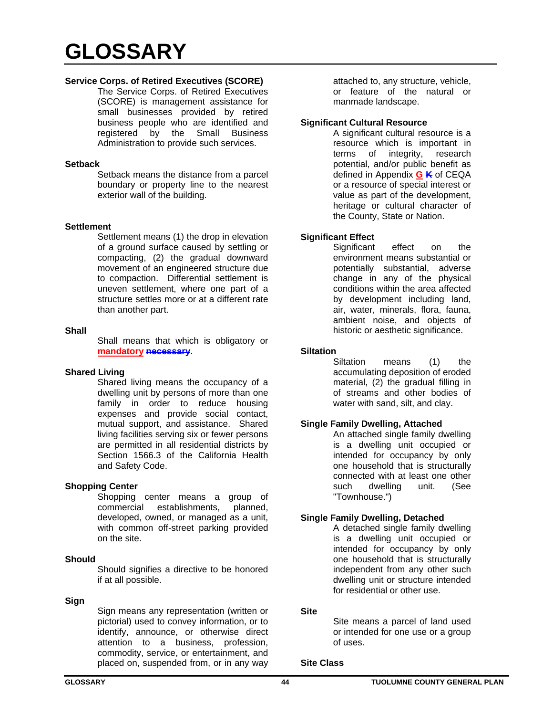# **Service Corps. of Retired Executives (SCORE)**

 The Service Corps. of Retired Executives (SCORE) is management assistance for small businesses provided by retired business people who are identified and registered by the Small Business Administration to provide such services.

#### **Setback**

Setback means the distance from a parcel boundary or property line to the nearest exterior wall of the building.

#### **Settlement**

Settlement means (1) the drop in elevation of a ground surface caused by settling or compacting, (2) the gradual downward movement of an engineered structure due to compaction. Differential settlement is uneven settlement, where one part of a structure settles more or at a different rate than another part.

#### **Shall**

Shall means that which is obligatory or **mandatory necessary**.

# **Shared Living**

Shared living means the occupancy of a dwelling unit by persons of more than one family in order to reduce housing expenses and provide social contact, mutual support, and assistance. Shared living facilities serving six or fewer persons are permitted in all residential districts by Section 1566.3 of the California Health and Safety Code.

# **Shopping Center**

Shopping center means a group of commercial establishments, planned, developed, owned, or managed as a unit, with common off-street parking provided on the site.

#### **Should**

Should signifies a directive to be honored if at all possible.

#### **Sign**

Sign means any representation (written or pictorial) used to convey information, or to identify, announce, or otherwise direct attention to a business, profession, commodity, service, or entertainment, and placed on, suspended from, or in any way

attached to, any structure, vehicle, or feature of the natural or manmade landscape.

#### **Significant Cultural Resource**

A significant cultural resource is a resource which is important in terms of integrity, research potential, and/or public benefit as defined in Appendix **G K** of CEQA or a resource of special interest or value as part of the development, heritage or cultural character of the County, State or Nation.

# **Significant Effect**

Significant effect on the environment means substantial or potentially substantial, adverse change in any of the physical conditions within the area affected by development including land, air, water, minerals, flora, fauna, ambient noise, and objects of historic or aesthetic significance.

#### **Siltation**

Siltation means (1) the accumulating deposition of eroded material, (2) the gradual filling in of streams and other bodies of water with sand, silt, and clay.

# **Single Family Dwelling, Attached**

An attached single family dwelling is a dwelling unit occupied or intended for occupancy by only one household that is structurally connected with at least one other such dwelling unit. (See "Townhouse.")

# **Single Family Dwelling, Detached**

A detached single family dwelling is a dwelling unit occupied or intended for occupancy by only one household that is structurally independent from any other such dwelling unit or structure intended for residential or other use.

#### **Site**

Site means a parcel of land used or intended for one use or a group of uses.

#### **Site Class**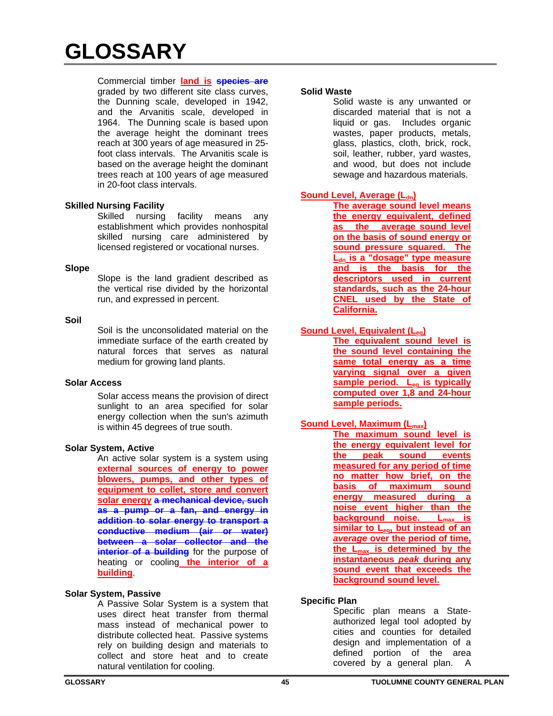Commercial timber **land is species are** graded by two different site class curves, the Dunning scale, developed in 1942, and the Arvanitis scale, developed in 1964. The Dunning scale is based upon the average height the dominant trees reach at 300 years of age measured in 25 foot class intervals. The Arvanitis scale is based on the average height the dominant trees reach at 100 years of age measured in 20-foot class intervals.

# **Skilled Nursing Facility**

Skilled nursing facility means any establishment which provides nonhospital skilled nursing care administered by licensed registered or vocational nurses.

#### **Slope**

Slope is the land gradient described as the vertical rise divided by the horizontal run, and expressed in percent.

#### **Soil**

Soil is the unconsolidated material on the immediate surface of the earth created by natural forces that serves as natural medium for growing land plants.

#### **Solar Access**

Solar access means the provision of direct sunlight to an area specified for solar energy collection when the sun's azimuth is within 45 degrees of true south.

#### **Solar System, Active**

An active solar system is a system using **external sources of energy to power blowers, pumps, and other types of equipment to collet, store and convert solar energy a mechanical device, such as a pump or a fan, and energy in addition to solar energy to transport a conductive medium (air or water) between a solar collector and the interior of a building** for the purpose of heating or cooling **the interior of a building**.

# **Solar System, Passive**

A Passive Solar System is a system that uses direct heat transfer from thermal mass instead of mechanical power to distribute collected heat. Passive systems rely on building design and materials to collect and store heat and to create natural ventilation for cooling.

#### **Solid Waste**

Solid waste is any unwanted or discarded material that is not a liquid or gas. Includes organic wastes, paper products, metals, glass, plastics, cloth, brick, rock, soil, leather, rubber, yard wastes, and wood, but does not include sewage and hazardous materials.

# **Sound Level, Average (L<sub>dn</sub>)**

**The average sound level means the energy equivalent, defined as the average sound level on the basis of sound energy or sound pressure squared. The L**<sub>dn</sub> is a "dosage" type measure **and is the basis for the descriptors used in current standards, such as the 24-hour CNEL used by the State of California.** 

# **Sound Level, Equivalent (Leq)**

**The equivalent sound level is the sound level containing the same total energy as a time varying signal over a given**  sample period. L<sub>eg</sub> is typically **computed over 1,8 and 24-hour sample periods.** 

# **Sound Level, Maximum (L<sub>max</sub>)**

**The maximum sound level is the energy equivalent level for the peak sound events measured for any period of time no matter how brief, on the basis of maximum sound energy measured during a noise event higher than the background noise.** L<sub>max</sub> is similar to L<sub>eq</sub>, but instead of an *average* **over the period of time, the Lmax is determined by the instantaneous** *peak* **during any sound event that exceeds the background sound level.** 

# **Specific Plan**

Specific plan means a Stateauthorized legal tool adopted by cities and counties for detailed design and implementation of a defined portion of the area covered by a general plan. A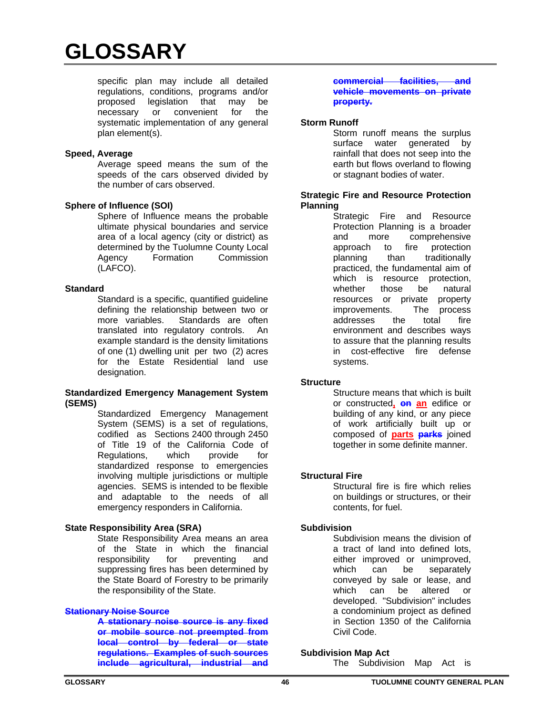specific plan may include all detailed regulations, conditions, programs and/or proposed legislation that may be necessary or convenient for the systematic implementation of any general plan element(s).

#### **Speed, Average**

Average speed means the sum of the speeds of the cars observed divided by the number of cars observed.

#### **Sphere of Influence (SOI)**

Sphere of Influence means the probable ultimate physical boundaries and service area of a local agency (city or district) as determined by the Tuolumne County Local Agency Formation Commission (LAFCO).

#### **Standard**

Standard is a specific, quantified guideline defining the relationship between two or more variables. Standards are often translated into regulatory controls. An example standard is the density limitations of one (1) dwelling unit per two (2) acres for the Estate Residential land use designation.

#### **Standardized Emergency Management System (SEMS)**

Standardized Emergency Management System (SEMS) is a set of regulations, codified as Sections 2400 through 2450 of Title 19 of the California Code of<br>Regulations, which provide for Regulations, which provide for standardized response to emergencies involving multiple jurisdictions or multiple agencies. SEMS is intended to be flexible and adaptable to the needs of all emergency responders in California.

# **State Responsibility Area (SRA)**

State Responsibility Area means an area of the State in which the financial responsibility for preventing and suppressing fires has been determined by the State Board of Forestry to be primarily the responsibility of the State.

#### **Stationary Noise Source**

**A stationary noise source is any fixed or mobile source not preempted from local control by federal or state regulations. Examples of such sources include agricultural, industrial and** 

#### **commercial facilities, and vehicle movements on private property.**

#### **Storm Runoff**

Storm runoff means the surplus surface water generated by rainfall that does not seep into the earth but flows overland to flowing or stagnant bodies of water.

#### **Strategic Fire and Resource Protection Planning**

Strategic Fire and Resource Protection Planning is a broader and more comprehensive approach to fire protection planning than traditionally practiced, the fundamental aim of which is resource protection, whether those be natural resources or private property improvements. The process addresses the total fire environment and describes ways to assure that the planning results in cost-effective fire defense systems.

#### **Structure**

Structure means that which is built or constructed**, on an** edifice or building of any kind, or any piece of work artificially built up or composed of **parts parks** joined together in some definite manner.

#### **Structural Fire**

Structural fire is fire which relies on buildings or structures, or their contents, for fuel.

# **Subdivision**

Subdivision means the division of a tract of land into defined lots, either improved or unimproved, which can be separately conveyed by sale or lease, and which can be altered or developed. "Subdivision" includes a condominium project as defined in Section 1350 of the California Civil Code.

#### **Subdivision Map Act**

The Subdivision Map Act is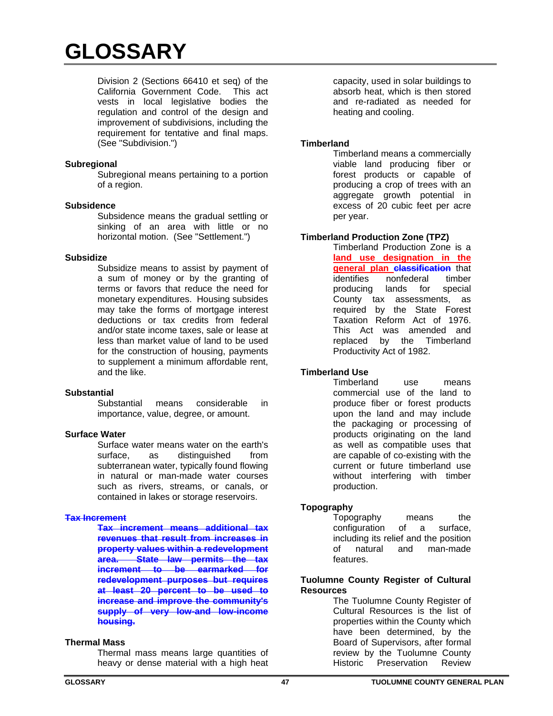Division 2 (Sections 66410 et seq) of the California Government Code. This act vests in local legislative bodies the regulation and control of the design and improvement of subdivisions, including the requirement for tentative and final maps. (See "Subdivision.")

# **Subregional**

Subregional means pertaining to a portion of a region.

#### **Subsidence**

Subsidence means the gradual settling or sinking of an area with little or no horizontal motion. (See "Settlement.")

#### **Subsidize**

Subsidize means to assist by payment of a sum of money or by the granting of terms or favors that reduce the need for monetary expenditures. Housing subsides may take the forms of mortgage interest deductions or tax credits from federal and/or state income taxes, sale or lease at less than market value of land to be used for the construction of housing, payments to supplement a minimum affordable rent, and the like.

# **Substantial**

means considerable in importance, value, degree, or amount.

# **Surface Water**

Surface water means water on the earth's surface, as distinguished from subterranean water, typically found flowing in natural or man-made water courses such as rivers, streams, or canals, or contained in lakes or storage reservoirs.

#### **Tax Increment**

**Tax increment means additional tax revenues that result from increases in property values within a redevelopment area. State law permits the tax increment to be earmarked for redevelopment purposes but requires at least 20 percent to be used to increase and improve the community's supply of very low-and low-income housing.** 

# **Thermal Mass**

Thermal mass means large quantities of heavy or dense material with a high heat

capacity, used in solar buildings to absorb heat, which is then stored and re-radiated as needed for heating and cooling.

#### **Timberland**

Timberland means a commercially viable land producing fiber or forest products or capable of producing a crop of trees with an aggregate growth potential in excess of 20 cubic feet per acre per year.

# **Timberland Production Zone (TPZ)**

Timberland Production Zone is a **land use designation in the general plan classification** that identifies nonfederal timber producing lands for special County tax assessments, as required by the State Forest Taxation Reform Act of 1976. This Act was amended and replaced by the Timberland Productivity Act of 1982.

# **Timberland Use**

Timberland use means commercial use of the land to produce fiber or forest products upon the land and may include the packaging or processing of products originating on the land as well as compatible uses that are capable of co-existing with the current or future timberland use without interfering with timber production.

# **Topography**

Topography means the configuration of a surface, including its relief and the position of natural and man-made features.

#### **Tuolumne County Register of Cultural Resources**

The Tuolumne County Register of Cultural Resources is the list of properties within the County which have been determined, by the Board of Supervisors, after formal review by the Tuolumne County Historic Preservation Review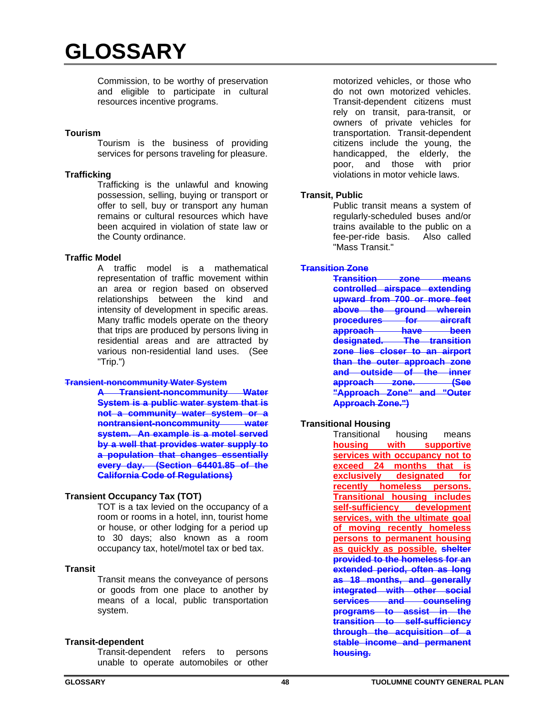Commission, to be worthy of preservation and eligible to participate in cultural resources incentive programs.

#### **Tourism**

Tourism is the business of providing services for persons traveling for pleasure.

#### **Trafficking**

Trafficking is the unlawful and knowing possession, selling, buying or transport or offer to sell, buy or transport any human remains or cultural resources which have been acquired in violation of state law or the County ordinance.

#### **Traffic Model**

A traffic model is a mathematical representation of traffic movement within an area or region based on observed relationships between the kind and intensity of development in specific areas. Many traffic models operate on the theory that trips are produced by persons living in residential areas and are attracted by various non-residential land uses. (See "Trip.")

#### **Transient-noncommunity Water System**

**A Transient-noncommunity Water System is a public water system that is not a community water system or a nontransient-noncommunity water system. An example is a motel served by a well that provides water supply to a population that changes essentially every day. (Section 64401.85 of the California Code of Regulations)**

# **Transient Occupancy Tax (TOT)**

TOT is a tax levied on the occupancy of a room or rooms in a hotel, inn, tourist home or house, or other lodging for a period up to 30 days; also known as a room occupancy tax, hotel/motel tax or bed tax.

#### **Transit**

Transit means the conveyance of persons or goods from one place to another by means of a local, public transportation system.

#### **Transit-dependent**

Transit-dependent refers to persons unable to operate automobiles or other motorized vehicles, or those who do not own motorized vehicles. Transit-dependent citizens must rely on transit, para-transit, or owners of private vehicles for transportation. Transit-dependent citizens include the young, the handicapped, the elderly, the poor, and those with prior violations in motor vehicle laws.

# **Transit, Public**

Public transit means a system of regularly-scheduled buses and/or trains available to the public on a fee-per-ride basis. Also called "Mass Transit."

#### **Transition Zone**

**Transition zone means controlled airspace extending upward from 700 or more feet above the ground wherein procedures for aircraft approach have been designated. The transition zone lies closer to an airport than the outer approach zone and outside of the inner approach zone. (See "Approach Zone" and "Outer Approach Zone.")** 

# **Transitional Housing**

Transitional housing means **housing with supportive services with occupancy not to exceed 24 months that is exclusively designated for recently homeless persons. Transitional housing includes self-sufficiency development services, with the ultimate goal of moving recently homeless persons to permanent housing as quickly as possible. shelter provided to the homeless for an extended period, often as long as 18 months, and generally integrated with other social services and counseling programs to assist in the transition to self-sufficiency through the acquisition of a stable income and permanent housing.**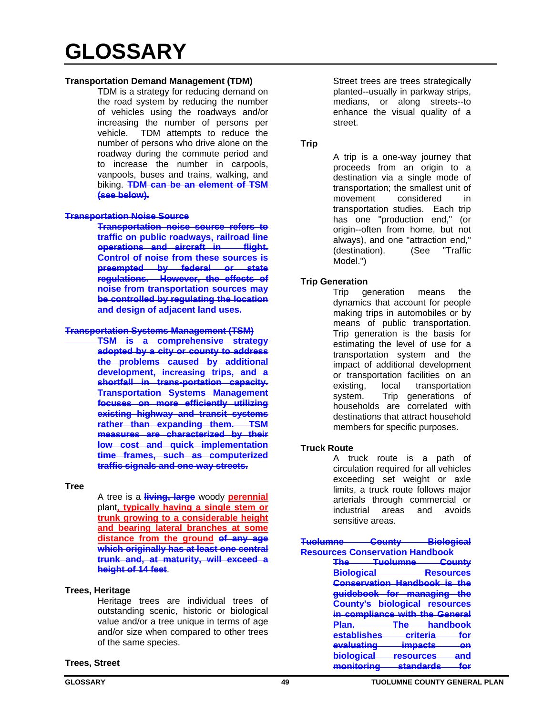# **Transportation Demand Management (TDM)**

TDM is a strategy for reducing demand on the road system by reducing the number of vehicles using the roadways and/or increasing the number of persons per vehicle. TDM attempts to reduce the number of persons who drive alone on the roadway during the commute period and to increase the number in carpools, vanpools, buses and trains, walking, and biking. **TDM can be an element of TSM (see below).**

#### **Transportation Noise Source**

**Transportation noise source refers to traffic on public roadways, railroad line operations and aircraft in flight. Control of noise from these sources is preempted by federal or state regulations. However, the effects of noise from transportation sources may be controlled by regulating the location and design of adjacent land uses.** 

#### **Transportation Systems Management (TSM)**

**TSM is a comprehensive strategy adopted by a city or county to address the problems caused by additional development, increasing trips, and a shortfall in trans-portation capacity. Transportation Systems Management focuses on more efficiently utilizing existing highway and transit systems rather than expanding them. TSM measures are characterized by their low cost and quick implementation time frames, such as computerized traffic signals and one-way streets.** 

#### **Tree**

A tree is a **living, large** woody **perennial** plant**, typically having a single stem or trunk growing to a considerable height and bearing lateral branches at some distance from the ground of any age which originally has at least one central trunk and, at maturity, will exceed a height of 14 feet**.

# **Trees, Heritage**

Heritage trees are individual trees of outstanding scenic, historic or biological value and/or a tree unique in terms of age and/or size when compared to other trees of the same species.

# **Trees, Street**

Street trees are trees strategically planted--usually in parkway strips, medians, or along streets--to enhance the visual quality of a street.

# **Trip**

A trip is a one-way journey that proceeds from an origin to a destination via a single mode of transportation; the smallest unit of movement considered in transportation studies. Each trip has one "production end," (or origin--often from home, but not always), and one "attraction end," (destination). (See "Traffic Model.")

# **Trip Generation**

Trip generation means the dynamics that account for people making trips in automobiles or by means of public transportation. Trip generation is the basis for estimating the level of use for a transportation system and the impact of additional development or transportation facilities on an existing, local transportation system. Trip generations of households are correlated with destinations that attract household members for specific purposes.

# **Truck Route**

A truck route is a path of circulation required for all vehicles exceeding set weight or axle limits, a truck route follows major arterials through commercial or industrial areas and avoids sensitive areas.

| <b>Tuolumne</b>                | Count∨                   |                     | <u>Biological</u> |
|--------------------------------|--------------------------|---------------------|-------------------|
| esources Conservation Handbook |                          |                     |                   |
| The<br><b>TELLE</b>            | <del>Tuolumne</del>      |                     | nu ntu            |
| <mark>Biological</mark>        |                          |                     | Resources         |
|                                | Conservation Handbook is |                     | the               |
| guidebook—                     | for                      | <del>managing</del> | the               |
| <del>County's</del>            | <del>biological</del>    |                     | <b>resources</b>  |
|                                | in compliance with the   |                     | Genei             |
| <del>Plan.</del>               | ⊡ا                       |                     | <b>handbook</b>   |
| <u>establishes</u>             |                          | rritaria            | for               |
| <del>evaluating</del>          |                          | <u>impacts</u>      | өn                |
| <del>biological</del>          |                          | raenurrae           | 9n d              |
| manıtarına                     |                          | etandarde           |                   |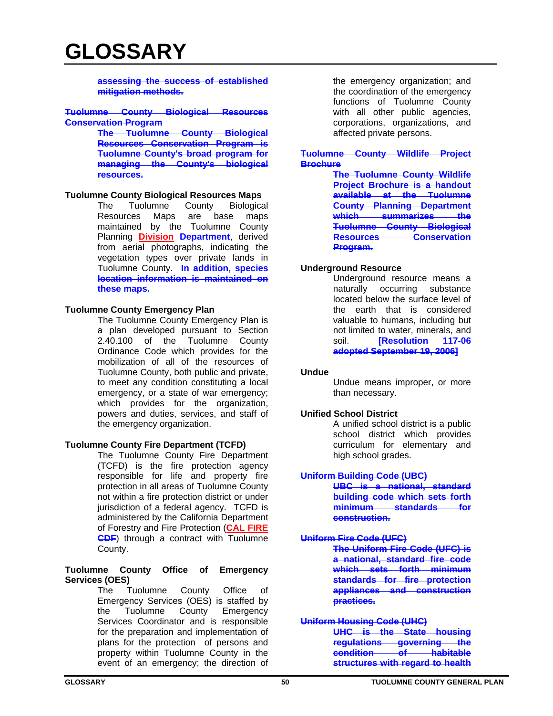**assessing the success of established mitigation methods.** 

#### **Tuolumne County Biological Resources Conservation Program**

**The Tuolumne County Biological Resources Conservation Program is Tuolumne County's broad program for managing the County's biological resources.**

#### **Tuolumne County Biological Resources Maps**

The Tuolumne County Biological Resources Maps are base maps maintained by the Tuolumne County Planning **Division Department**, derived from aerial photographs, indicating the vegetation types over private lands in Tuolumne County. **In addition, species location information is maintained on these maps.**

# **Tuolumne County Emergency Plan**

The Tuolumne County Emergency Plan is a plan developed pursuant to Section 2.40.100 of the Tuolumne County Ordinance Code which provides for the mobilization of all of the resources of Tuolumne County, both public and private, to meet any condition constituting a local emergency, or a state of war emergency; which provides for the organization, powers and duties, services, and staff of the emergency organization.

# **Tuolumne County Fire Department (TCFD)**

The Tuolumne County Fire Department (TCFD) is the fire protection agency responsible for life and property fire protection in all areas of Tuolumne County not within a fire protection district or under jurisdiction of a federal agency. TCFD is administered by the California Department of Forestry and Fire Protection (**CAL FIRE CDF**) through a contract with Tuolumne County.

#### **Tuolumne County Office of Emergency Services (OES)**

The Tuolumne County Office of Emergency Services (OES) is staffed by the Tuolumne County Emergency Services Coordinator and is responsible for the preparation and implementation of plans for the protection of persons and property within Tuolumne County in the event of an emergency; the direction of

the emergency organization; and the coordination of the emergency functions of Tuolumne County with all other public agencies, corporations, organizations, and affected private persons.

#### **Tuolumne County Wildlife Project Brochure**

**The Tuolumne County Wildlife Project Brochure is a handout available at the Tuolumne County Planning Department which summarizes the Tuolumne County Biological Resources Conservation Program.** 

# **Underground Resource**

Underground resource means a naturally occurring substance located below the surface level of the earth that is considered valuable to humans, including but not limited to water, minerals, and soil. **[Resolution 117-06 adopted September 19, 2006]**

#### **Undue**

Undue means improper, or more than necessary.

#### **Unified School District**

A unified school district is a public school district which provides curriculum for elementary and high school grades.

#### **Uniform Building Code (UBC)**

**UBC is a national, standard building code which sets forth minimum standards for construction.** 

# **Uniform Fire Code (UFC)**

**The Uniform Fire Code (UFC) is a national, standard fire code which sets forth minimum standards for fire protection appliances and construction practices.** 

#### **Uniform Housing Code (UHC)**

**UHC is the State housing regulations governing the condition structures with regard to health**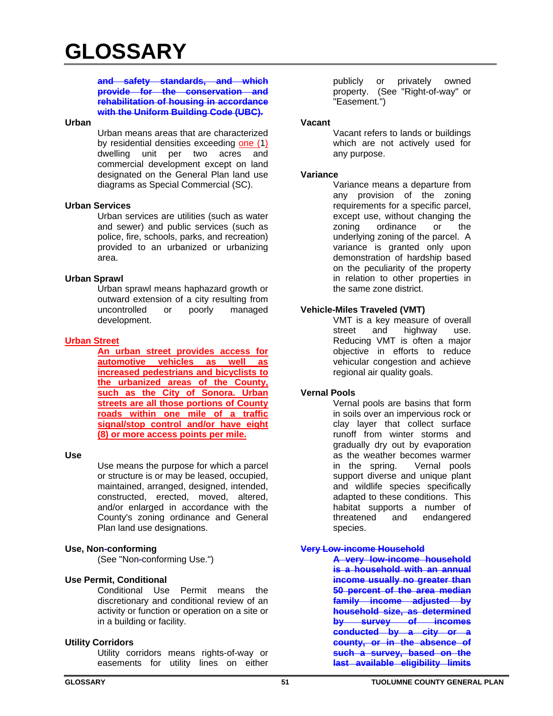# **and safety standards, and which provide for the conservation and rehabilitation of housing in accordance with the Uniform Building Code (UBC).**

#### **Urban**

Urban means areas that are characterized by residential densities exceeding one (1) dwelling unit per two acres and commercial development except on land designated on the General Plan land use diagrams as Special Commercial (SC).

#### **Urban Services**

Urban services are utilities (such as water and sewer) and public services (such as police, fire, schools, parks, and recreation) provided to an urbanized or urbanizing area.

#### **Urban Sprawl**

Urban sprawl means haphazard growth or outward extension of a city resulting from uncontrolled or poorly managed development.

# **Urban Street**

**An urban street provides access for automotive vehicles as well as increased pedestrians and bicyclists to the urbanized areas of the County, such as the City of Sonora. Urban streets are all those portions of County roads within one mile of a traffic signal/stop control and/or have eight (8) or more access points per mile.** 

#### **Use**

Use means the purpose for which a parcel or structure is or may be leased, occupied, maintained, arranged, designed, intended, constructed, erected, moved, altered, and/or enlarged in accordance with the County's zoning ordinance and General Plan land use designations.

#### **Use, Non-conforming**

(See "Non-conforming Use.")

# **Use Permit, Conditional**

Conditional Use Permit means the discretionary and conditional review of an activity or function or operation on a site or in a building or facility.

#### **Utility Corridors**

Utility corridors means rights-of-way or easements for utility lines on either

publicly or privately owned property. (See "Right-of-way" or "Easement.")

#### **Vacant**

Vacant refers to lands or buildings which are not actively used for any purpose.

#### **Variance**

Variance means a departure from any provision of the zoning requirements for a specific parcel, except use, without changing the zoning ordinance or the underlying zoning of the parcel. A variance is granted only upon demonstration of hardship based on the peculiarity of the property in relation to other properties in the same zone district.

# **Vehicle-Miles Traveled (VMT)**

VMT is a key measure of overall street and highway use. Reducing VMT is often a major objective in efforts to reduce vehicular congestion and achieve regional air quality goals.

#### **Vernal Pools**

Vernal pools are basins that form in soils over an impervious rock or clay layer that collect surface runoff from winter storms and gradually dry out by evaporation as the weather becomes warmer in the spring. Vernal pools support diverse and unique plant and wildlife species specifically adapted to these conditions. This habitat supports a number of threatened and endangered species.

# **Very Low-income Household**

**A very low-income household is a household with an annual income usually no greater than 50 percent of the area median family income adjusted by household size, as determined by survey of incomes conducted by a city or a county, or in the absence of such a survey, based on the last available eligibility limits**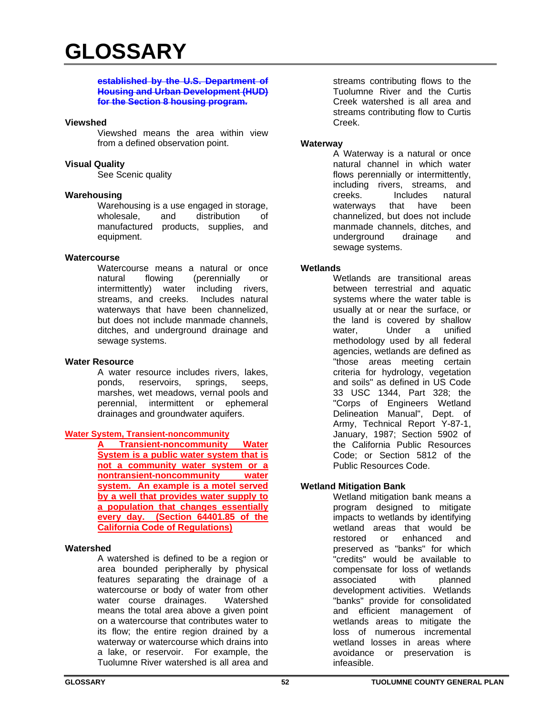#### **established by the U.S. Department of Housing and Urban Development (HUD) for the Section 8 housing program.**

#### **Viewshed**

Viewshed means the area within view from a defined observation point.

#### **Visual Quality**

See Scenic quality

#### **Warehousing**

Warehousing is a use engaged in storage, wholesale, and distribution of manufactured products, supplies, and equipment.

#### **Watercourse**

Watercourse means a natural or once natural flowing (perennially or intermittently) water including rivers, streams, and creeks. Includes natural waterways that have been channelized, but does not include manmade channels, ditches, and underground drainage and sewage systems.

#### **Water Resource**

A water resource includes rivers, lakes, ponds, reservoirs, springs, seeps, marshes, wet meadows, vernal pools and perennial, intermittent or ephemeral drainages and groundwater aquifers.

# **Water System, Transient-noncommunity**

**Transient-noncommunity Water System is a public water system that is not a community water system or a nontransient-noncommunity water system. An example is a motel served by a well that provides water supply to a population that changes essentially every day. (Section 64401.85 of the California Code of Regulations)** 

#### **Watershed**

A watershed is defined to be a region or area bounded peripherally by physical features separating the drainage of a watercourse or body of water from other water course drainages. Watershed means the total area above a given point on a watercourse that contributes water to its flow; the entire region drained by a waterway or watercourse which drains into a lake, or reservoir. For example, the Tuolumne River watershed is all area and

streams contributing flows to the Tuolumne River and the Curtis Creek watershed is all area and streams contributing flow to Curtis Creek.

#### **Waterway**

A Waterway is a natural or once natural channel in which water flows perennially or intermittently, including rivers, streams, and creeks. Includes natural<br>waterwavs that have been that have been channelized, but does not include manmade channels, ditches, and underground drainage and sewage systems.

#### **Wetlands**

Wetlands are transitional areas between terrestrial and aquatic systems where the water table is usually at or near the surface, or the land is covered by shallow water, Under a unified methodology used by all federal agencies, wetlands are defined as "those areas meeting certain criteria for hydrology, vegetation and soils" as defined in US Code 33 USC 1344, Part 328; the "Corps of Engineers Wetland Delineation Manual", Dept. of Army, Technical Report Y-87-1, January, 1987; Section 5902 of the California Public Resources Code; or Section 5812 of the Public Resources Code.

#### **Wetland Mitigation Bank**

Wetland mitigation bank means a program designed to mitigate impacts to wetlands by identifying wetland areas that would be restored or enhanced and preserved as "banks" for which "credits" would be available to compensate for loss of wetlands associated with planned development activities. Wetlands "banks" provide for consolidated and efficient management of wetlands areas to mitigate the loss of numerous incremental wetland losses in areas where avoidance or preservation is infeasible.